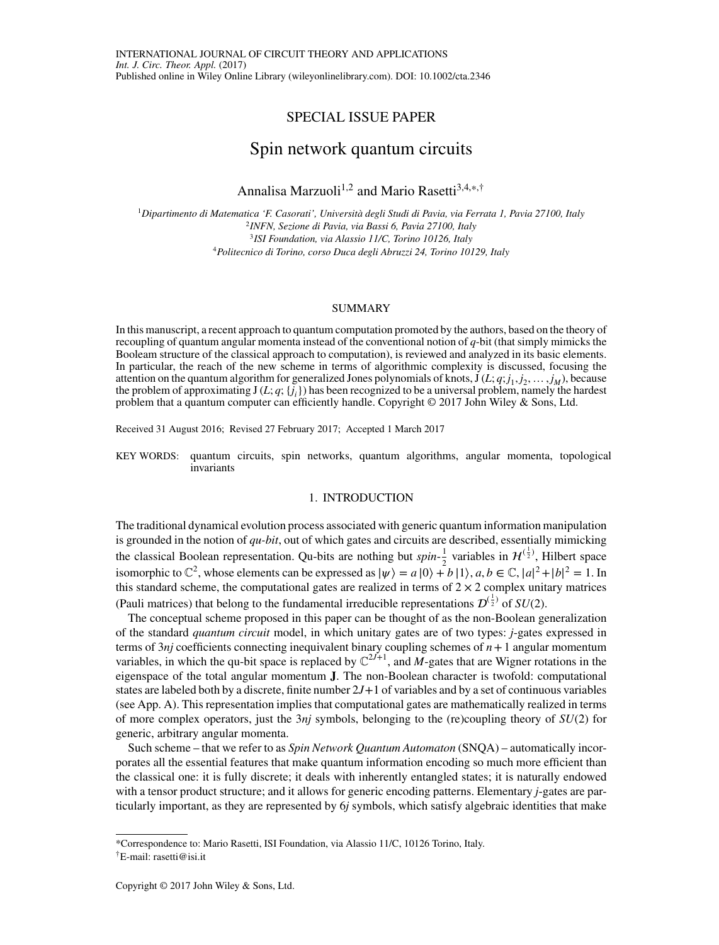# SPECIAL ISSUE PAPER

# Spin network quantum circuits

Annalisa Marzuoli<sup>1,2</sup> and Mario Rasetti<sup>3,4,\*,†</sup>

*Dipartimento di Matematica 'F. Casorati', Università degli Studi di Pavia, via Ferrata 1, Pavia 27100, Italy INFN, Sezione di Pavia, via Bassi 6, Pavia 27100, Italy ISI Foundation, via Alassio 11/C, Torino 10126, Italy Politecnico di Torino, corso Duca degli Abruzzi 24, Torino 10129, Italy*

## SUMMARY

In this manuscript, a recent approach to quantum computation promoted by the authors, based on the theory of recoupling of quantum angular momenta instead of the conventional notion of *q*-bit (that simply mimicks the Booleam structure of the classical approach to computation), is reviewed and analyzed in its basic elements. In particular, the reach of the new scheme in terms of algorithmic complexity is discussed, focusing the attention on the quantum algorithm for generalized Jones polynomials of knots,  $J(L; q; j_1, j_2, \ldots, j_M)$ , because the problem of approximating  $J(L; q; \{j_i\})$  has been recognized to be a universal problem, namely the hardest problem that a quantum computer can efficiently handle. Copyright © 2017 John Wiley & Sons, Ltd.

Received 31 August 2016; Revised 27 February 2017; Accepted 1 March 2017

KEY WORDS: quantum circuits, spin networks, quantum algorithms, angular momenta, topological invariants

# 1. INTRODUCTION

The traditional dynamical evolution process associated with generic quantum information manipulation is grounded in the notion of *qu-bit*, out of which gates and circuits are described, essentially mimicking the classical Boolean representation. Qu-bits are nothing but *spin*- $\frac{1}{2}$  variables in  $\mathcal{H}^{(\frac{1}{2})}$ , Hilbert space isomorphic to  $\mathbb{C}^2$ , whose elements can be expressed as  $|\psi\rangle = a |0\rangle + b |1\rangle$ ,  $a, b \in \mathbb{C}$ ,  $|a|^2 + |b|^2 = 1$ . In this standard scheme, the computational gates are realized in terms of  $2 \times 2$  complex unitary matrices (Pauli matrices) that belong to the fundamental irreducible representations  $\mathcal{D}^{(\frac{1}{2})}$  of *SU*(2).

The conceptual scheme proposed in this paper can be thought of as the non-Boolean generalization of the standard *quantum circuit* model, in which unitary gates are of two types: *j*-gates expressed in terms of 3*nj* coefficients connecting inequivalent binary coupling schemes of *n*+1 angular momentum variables, in which the qu-bit space is replaced by  $\mathbb{C}^{2J+1}$ , and M-gates that are Wigner rotations in the eigenspace of the total angular momentum **J**. The non-Boolean character is twofold: computational states are labeled both by a discrete, finite number 2*J*+1 of variables and by a set of continuous variables (see App. A). This representation implies that computational gates are mathematically realized in terms of more complex operators, just the 3*nj* symbols, belonging to the (re)coupling theory of *SU*(2) for generic, arbitrary angular momenta.

Such scheme – that we refer to as *Spin Network Quantum Automaton* (SNQA) – automatically incorporates all the essential features that make quantum information encoding so much more efficient than the classical one: it is fully discrete; it deals with inherently entangled states; it is naturally endowed with a tensor product structure; and it allows for generic encoding patterns. Elementary *j*-gates are particularly important, as they are represented by 6*j* symbols, which satisfy algebraic identities that make

<sup>\*</sup>Correspondence to: Mario Rasetti, ISI Foundation, via Alassio 11/C, 10126 Torino, Italy.

<sup>†</sup>E-mail: rasetti@isi.it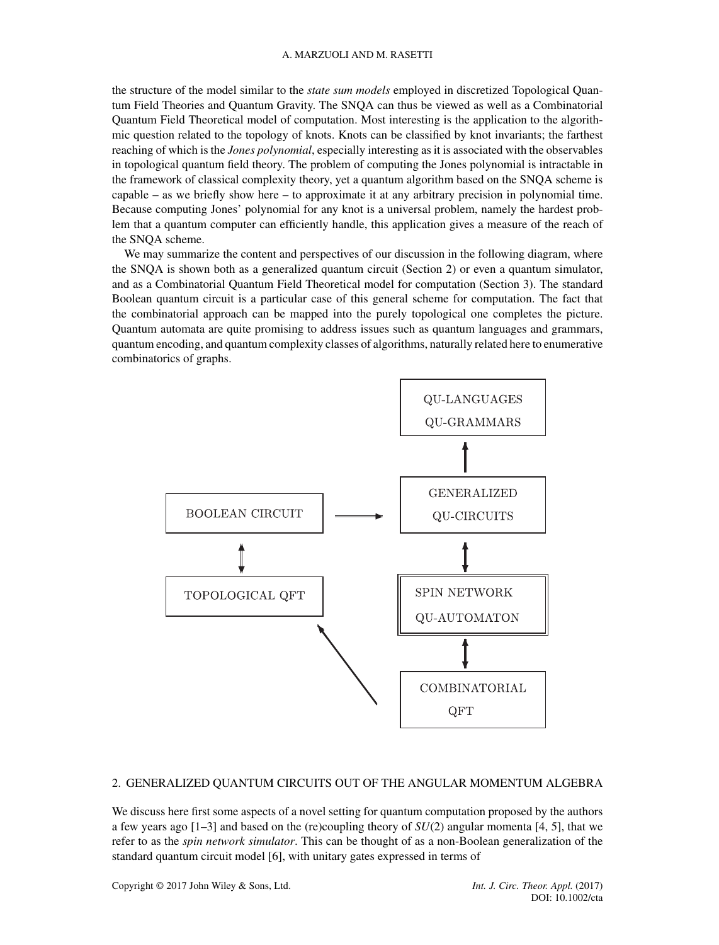# A. MARZUOLI AND M. RASETTI

the structure of the model similar to the *state sum models* employed in discretized Topological Quantum Field Theories and Quantum Gravity. The SNQA can thus be viewed as well as a Combinatorial Quantum Field Theoretical model of computation. Most interesting is the application to the algorithmic question related to the topology of knots. Knots can be classified by knot invariants; the farthest reaching of which is the *Jones polynomial*, especially interesting as it is associated with the observables in topological quantum field theory. The problem of computing the Jones polynomial is intractable in the framework of classical complexity theory, yet a quantum algorithm based on the SNQA scheme is capable – as we briefly show here – to approximate it at any arbitrary precision in polynomial time. Because computing Jones' polynomial for any knot is a universal problem, namely the hardest problem that a quantum computer can efficiently handle, this application gives a measure of the reach of the SNQA scheme.

We may summarize the content and perspectives of our discussion in the following diagram, where the SNQA is shown both as a generalized quantum circuit (Section [2\)](#page-1-0) or even a quantum simulator, and as a Combinatorial Quantum Field Theoretical model for computation (Section [3\)](#page-8-0). The standard Boolean quantum circuit is a particular case of this general scheme for computation. The fact that the combinatorial approach can be mapped into the purely topological one completes the picture. Quantum automata are quite promising to address issues such as quantum languages and grammars, quantum encoding, and quantum complexity classes of algorithms, naturally related here to enumerative combinatorics of graphs.



# <span id="page-1-0"></span>2. GENERALIZED QUANTUM CIRCUITS OUT OF THE ANGULAR MOMENTUM ALGEBRA

We discuss here first some aspects of a novel setting for quantum computation proposed by the authors a few years ago [\[1](#page-17-0)[–3\]](#page-17-1) and based on the (re)coupling theory of *SU*(2) angular momenta [\[4,](#page-17-2) [5\]](#page-17-3), that we refer to as the *spin network simulator*. This can be thought of as a non-Boolean generalization of the standard quantum circuit model [\[6\]](#page-17-4), with unitary gates expressed in terms of

Copyright © 2017 John Wiley & Sons, Ltd. *Int. J. Circ. Theor. Appl.* (2017)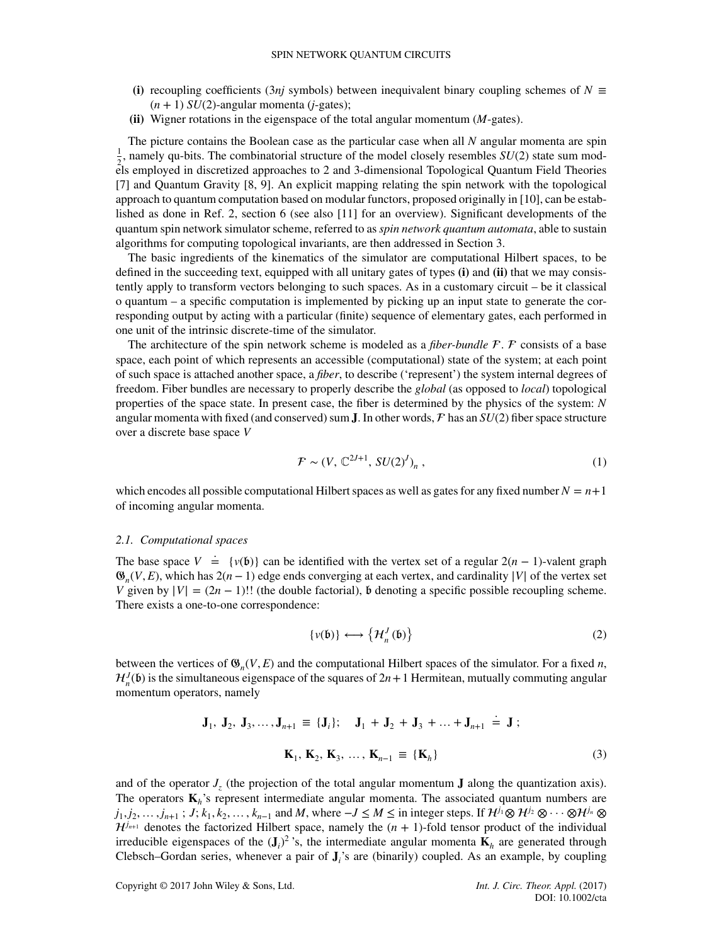- (i) recoupling coefficients (3*nj* symbols) between inequivalent binary coupling schemes of  $N \equiv$  $(n + 1) SU(2)$ -angular momenta (*j*-gates);
- **(ii)** Wigner rotations in the eigenspace of the total angular momentum (*M*-gates).

The picture contains the Boolean case as the particular case when all *N* angular momenta are spin  $\frac{1}{2}$ , namely qu-bits. The combinatorial structure of the model closely resembles *SU*(2) state sum mod-2 els employed in discretized approaches to 2 and 3-dimensional Topological Quantum Field Theories [\[7\]](#page-17-5) and Quantum Gravity [\[8,](#page-17-6) [9\]](#page-17-7). An explicit mapping relating the spin network with the topological approach to quantum computation based on modular functors, proposed originally in [\[10\]](#page-17-8), can be established as done in Ref. 2, section 6 (see also [\[11\]](#page-17-9) for an overview). Significant developments of the quantum spin network simulator scheme, referred to as *spin network quantum automata*, able to sustain algorithms for computing topological invariants, are then addressed in Section [3.](#page-8-0)

The basic ingredients of the kinematics of the simulator are computational Hilbert spaces, to be defined in the succeeding text, equipped with all unitary gates of types **(i)** and **(ii)** that we may consistently apply to transform vectors belonging to such spaces. As in a customary circuit – be it classical o quantum – a specific computation is implemented by picking up an input state to generate the corresponding output by acting with a particular (finite) sequence of elementary gates, each performed in one unit of the intrinsic discrete-time of the simulator.

The architecture of the spin network scheme is modeled as a *fiber-bundle*  $\mathcal{F}$ .  $\mathcal{F}$  consists of a base space, each point of which represents an accessible (computational) state of the system; at each point of such space is attached another space, a *fiber*, to describe ('represent') the system internal degrees of freedom. Fiber bundles are necessary to properly describe the *global* (as opposed to *local*) topological properties of the space state. In present case, the fiber is determined by the physics of the system: *N* angular momenta with fixed (and conserved) sum  $J$ . In other words,  $\mathcal{F}$  has an  $SU(2)$  fiber space structure over a discrete base space *V*

<span id="page-2-1"></span>
$$
\mathcal{F} \sim (V, \mathbb{C}^{2J+1}, SU(2)^J)_n, \qquad (1)
$$

which encodes all possible computational Hilbert spaces as well as gates for any fixed number  $N = n+1$ of incoming angular momenta.

#### *2.1. Computational spaces*

The base space  $V = \{v(\mathbf{b})\}$  can be identified with the vertex set of a regular  $2(n-1)$ -valent graph  $\mathfrak{G}_n(V, E)$ , which has  $2(n-1)$  edge ends converging at each vertex, and cardinality |*V*| of the vertex set *V* given by  $|V| = (2n - 1)!!$  (the double factorial), **b** denoting a specific possible recoupling scheme. There exists a one-to-one correspondence:

<span id="page-2-0"></span>
$$
\{\nu(\mathfrak{b})\} \longleftrightarrow \left\{\mathcal{H}_n^J(\mathfrak{b})\right\} \tag{2}
$$

between the vertices of  $\mathfrak{G}_n(V, E)$  and the computational Hilbert spaces of the simulator. For a fixed *n*,  $H_n^J(\mathfrak{b})$  is the simultaneous eigenspace of the squares of  $2n+1$  Hermitean, mutually commuting angular momentum operators, namely

$$
\mathbf{J}_1, \ \mathbf{J}_2, \ \mathbf{J}_3, \dots, \mathbf{J}_{n+1} \equiv \{ \mathbf{J}_i \}; \quad \mathbf{J}_1 + \mathbf{J}_2 + \mathbf{J}_3 + \dots + \mathbf{J}_{n+1} \doteq \mathbf{J} \; ;
$$
\n
$$
\mathbf{K}_1, \ \mathbf{K}_2, \ \mathbf{K}_3, \ \dots, \ \mathbf{K}_{n-1} \equiv \{ \mathbf{K}_h \}
$$
\n(3)

and of the operator  $J_z$  (the projection of the total angular momentum  $J$  along the quantization axis). The operators  $K_h$ 's represent intermediate angular momenta. The associated quantum numbers are  $j_1, j_2, \ldots, j_{n+1}$ ;  $J; k_1, k_2, \ldots, k_{n-1}$  and M, where  $-J \leq M \leq$  in integer steps. If  $\mathcal{H}^{j_1} \otimes \mathcal{H}^{j_2} \otimes \cdots \otimes \mathcal{H}^{j_n} \otimes$  $\mathcal{H}^{j_{n+1}}$  denotes the factorized Hilbert space, namely the  $(n + 1)$ -fold tensor product of the individual irreducible eigenspaces of the  $(\mathbf{J}_i)^2$ 's, the intermediate angular momenta  $\mathbf{K}_h$  are generated through Clebsch–Gordan series, whenever a pair of  $J_i$ 's are (binarily) coupled. As an example, by coupling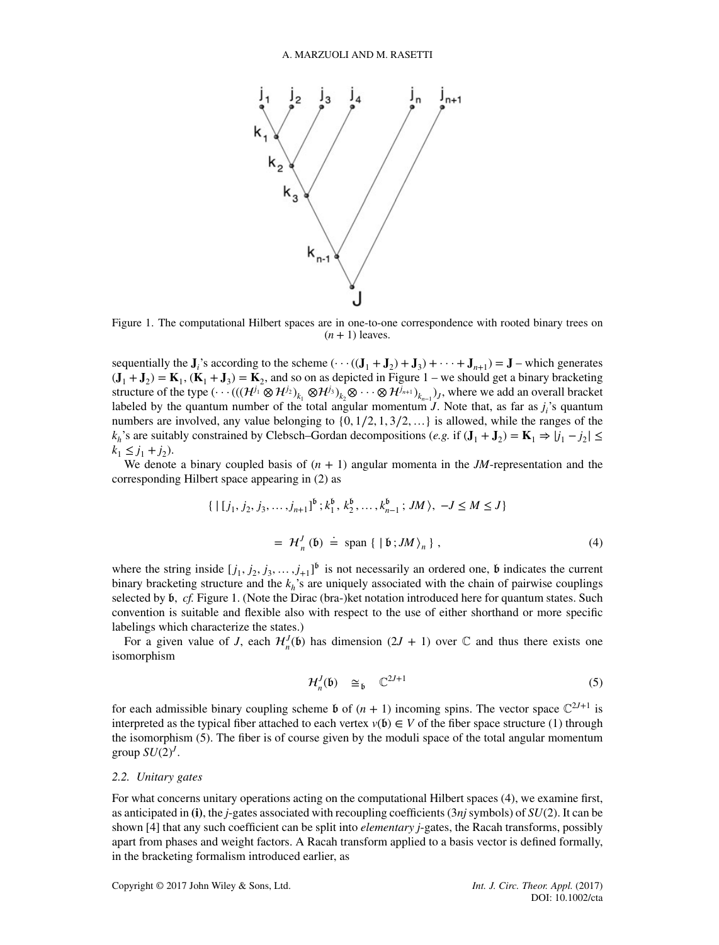

<span id="page-3-0"></span>Figure 1. The computational Hilbert spaces are in one-to-one correspondence with rooted binary trees on  $(n + 1)$  leaves.

sequentially the  $J_i$ 's according to the scheme  $(\cdots((J_1 + J_2) + J_3) + \cdots + J_{n+1}) = J$  – which generates  $(J_1 + J_2) = K_1$ ,  $(K_1 + J_3) = K_2$ , and so on as depicted in Figure [1](#page-3-0) – we should get a binary bracketing structure of the type  $(\cdots(((\mathcal{H}^{j_1} \otimes \mathcal{H}^{j_2})_{k_1} \otimes \mathcal{H}^{j_3})_{k_2} \otimes \cdots \otimes \mathcal{H}^{j_{n+1}})_{k_{n-1}})_J$ , where we add an overall bracket labeled by the quantum number of the total angular momentum *J*. Note that, as far as  $j_i$ 's quantum numbers are involved, any value belonging to {0*,* 1∕2*,* 1*,* 3∕2*,* …} is allowed, while the ranges of the  $k_h$ 's are suitably constrained by Clebsch–Gordan decompositions (*e.g.* if  $(\mathbf{J}_1 + \mathbf{J}_2) = \mathbf{K}_1 \Rightarrow |j_1 - j_2| \leq$  $k_1 \leq j_1 + j_2$ .

<span id="page-3-2"></span>We denote a binary coupled basis of  $(n + 1)$  angular momenta in the *JM*-representation and the corresponding Hilbert space appearing in [\(2\)](#page-2-0) as

$$
\{ | [j_1, j_2, j_3, \dots, j_{n+1}]^{\mathfrak{b}}; k_1^{\mathfrak{b}}, k_2^{\mathfrak{b}}, \dots, k_{n-1}^{\mathfrak{b}}; JM \rangle, -J \leq M \leq J \}
$$
  
=  $\mathcal{H}_n^J(\mathfrak{b}) \doteq \text{span} \{ | \mathfrak{b}; JM \rangle_n \},$  (4)

where the string inside  $[j_1, j_2, j_3, \ldots, j_{+1}]^{\mathfrak{b}}$  is not necessarily an ordered one, **b** indicates the current binary bracketing structure and the *kh*'s are uniquely associated with the chain of pairwise couplings selected by  $\mathfrak{b}$ , *cf.* Figure [1.](#page-3-0) (Note the Dirac (bra-)ket notation introduced here for quantum states. Such convention is suitable and flexible also with respect to the use of either shorthand or more specific labelings which characterize the states.)

<span id="page-3-1"></span>For a given value of *J*, each  $\mathcal{H}_n^J(\mathfrak{b})$  has dimension  $(2J + 1)$  over  $\mathbb C$  and thus there exists one isomorphism

<span id="page-3-3"></span>
$$
\mathcal{H}_n^J(\mathfrak{b}) \quad \cong_{\mathfrak{b}} \quad \mathbb{C}^{2J+1} \tag{5}
$$

for each admissible binary coupling scheme **b** of  $(n + 1)$  incoming spins. The vector space  $\mathbb{C}^{2J+1}$  is interpreted as the typical fiber attached to each vertex  $v(b) \in V$  of the fiber space structure [\(1\)](#page-2-1) through the isomorphism [\(5\)](#page-3-1). The fiber is of course given by the moduli space of the total angular momentum group  $SU(2)^J$ .

#### *2.2. Unitary gates*

For what concerns unitary operations acting on the computational Hilbert spaces [\(4\)](#page-3-2), we examine first, as anticipated in **(i)**, the *j*-gates associated with recoupling coefficients (3*nj*symbols) of *SU*(2). It can be shown [\[4\]](#page-17-2) that any such coefficient can be split into *elementary j*-gates, the Racah transforms, possibly apart from phases and weight factors. A Racah transform applied to a basis vector is defined formally, in the bracketing formalism introduced earlier, as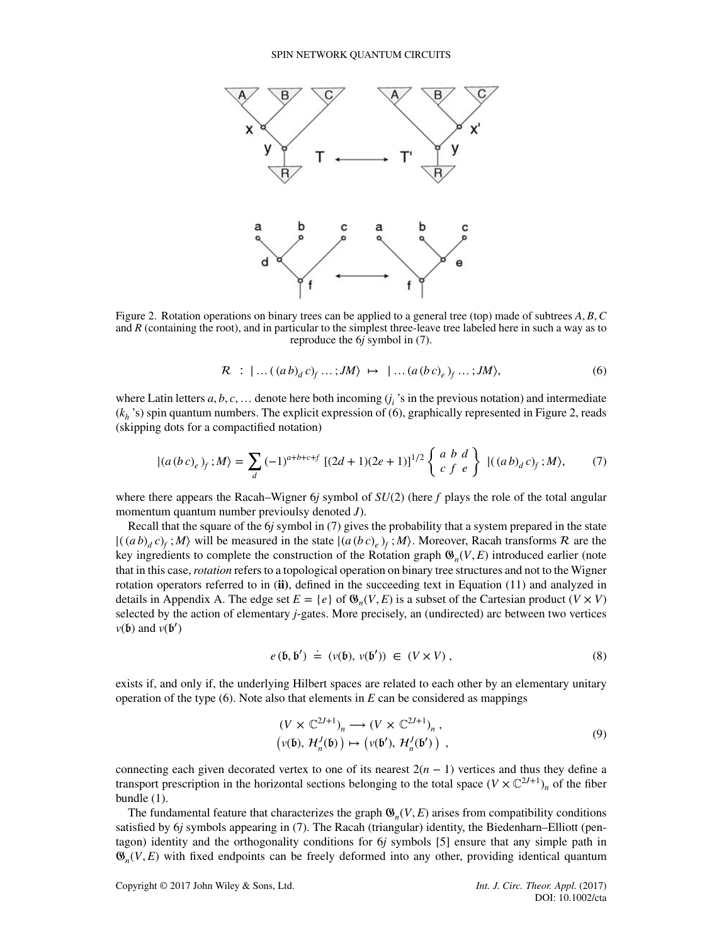

<span id="page-4-1"></span>Figure 2. Rotation operations on binary trees can be applied to a general tree (top) made of subtrees *A, B,C* and *R* (containing the root), and in particular to the simplest three-leave tree labeled here in such a way as to reproduce the 6*j* symbol in [\(7\)](#page-4-0).

<span id="page-4-0"></span>
$$
\mathcal{R} : | \dots ((ab)_d c)_f \dots ; JM \rangle \mapsto | \dots (a (b c)_e)_f \dots ; JM \rangle, \tag{6}
$$

where Latin letters  $a, b, c, \ldots$  denote here both incoming  $(i_i)$  is in the previous notation) and intermediate (*kh* 's) spin quantum numbers. The explicit expression of [\(6\)](#page-3-3), graphically represented in Figure [2,](#page-4-1) reads (skipping dots for a compactified notation)

$$
|(a(bc)_e)_f;M\rangle = \sum_{d} (-1)^{a+b+c+f} [(2d+1)(2e+1)]^{1/2} \begin{Bmatrix} a & b & d \\ c & f & e \end{Bmatrix} |((ab)_d c)_f;M\rangle, (7)
$$

where there appears the Racah–Wigner 6*j* symbol of  $SU(2)$  (here *f* plays the role of the total angular momentum quantum number previoulsy denoted *J*).

Recall that the square of the 6*j* symbol in [\(7\)](#page-4-0) gives the probability that a system prepared in the state  $|( (ab)_d c)_f$ ; *M* $>$  will be measured in the state  $|(a (b c)_e)_f$ ; *M* $>$ . Moreover, Racah transforms R are the key ingredients to complete the construction of the Rotation graph  $\mathfrak{G}_n(V, E)$  introduced earlier (note that in this case,*rotation* refers to a topological operation on binary tree structures and not to the Wigner rotation operators referred to in (**ii)**, defined in the succeeding text in Equation [\(11\)](#page-5-0) and analyzed in details in Appendix A. The edge set  $E = \{e\}$  of  $\mathfrak{G}_n(V, E)$  is a subset of the Cartesian product  $(V \times V)$ selected by the action of elementary *j*-gates. More precisely, an (undirected) arc between two vertices  $v(\mathfrak{b})$  and  $v(\mathfrak{b}')$ 

$$
e(\mathfrak{b}, \mathfrak{b}') \doteq (v(\mathfrak{b}), v(\mathfrak{b}')) \in (V \times V), \tag{8}
$$

exists if, and only if, the underlying Hilbert spaces are related to each other by an elementary unitary operation of the type  $(6)$ . Note also that elements in  $E$  can be considered as mappings

$$
(V \times \mathbb{C}^{2J+1})_n \longrightarrow (V \times \mathbb{C}^{2J+1})_n ,(v(\mathfrak{b}), \mathcal{H}_n^J(\mathfrak{b})) \mapsto (v(\mathfrak{b}'), \mathcal{H}_n^J(\mathfrak{b}')) ,
$$
(9)

connecting each given decorated vertex to one of its nearest 2(*n* − 1) vertices and thus they define a transport prescription in the horizontal sections belonging to the total space  $(V \times \mathbb{C}^{2J+1})$ <sup>n</sup> of the fiber bundle [\(1\)](#page-2-1).

The fundamental feature that characterizes the graph  $\mathfrak{G}_n(V, E)$  arises from compatibility conditions satisfied by 6*j* symbols appearing in [\(7\)](#page-4-0). The Racah (triangular) identity, the Biedenharn–Elliott (pentagon) identity and the orthogonality conditions for 6*j* symbols [\[5\]](#page-17-3) ensure that any simple path in  $\mathfrak{G}_n(V, E)$  with fixed endpoints can be freely deformed into any other, providing identical quantum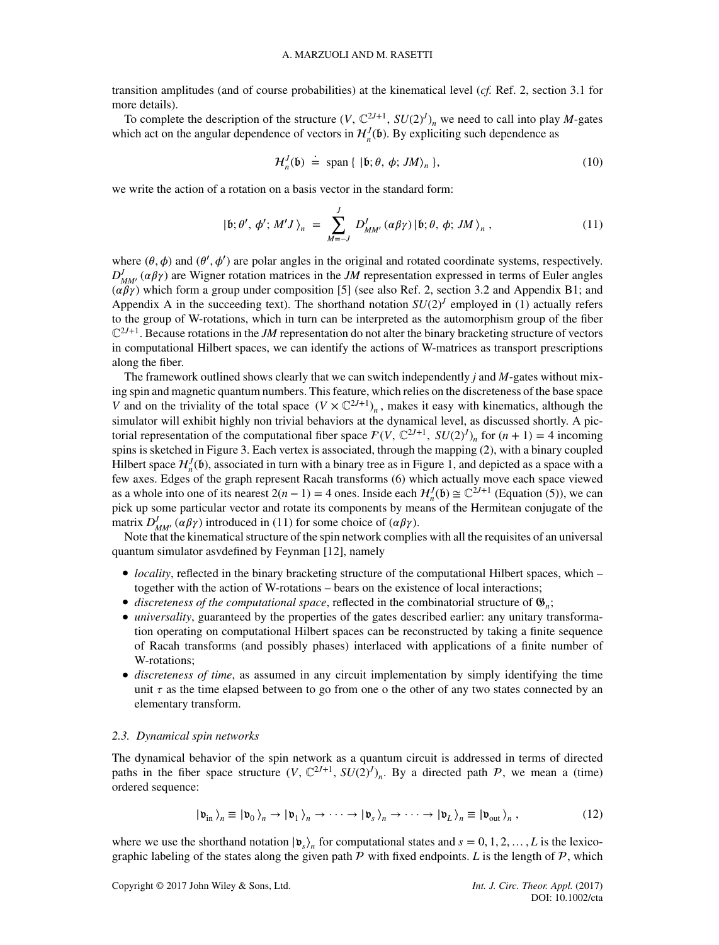transition amplitudes (and of course probabilities) at the kinematical level (*cf.* Ref. 2, section 3.1 for more details).

To complete the description of the structure  $(V, \mathbb{C}^{2J+1}, SU(2)^J)_n$  we need to call into play *M*-gates which act on the angular dependence of vectors in  $\mathcal{H}_n^J(\mathfrak{b})$ . By expliciting such dependence as

<span id="page-5-0"></span>
$$
\mathcal{H}_n^J(\mathfrak{b}) \doteq \text{span}\{ \ |\mathfrak{b}; \theta, \phi; JM \rangle_n \},\tag{10}
$$

we write the action of a rotation on a basis vector in the standard form:

$$
|\mathfrak{b};\theta',\,\phi';\,M'J\,\rangle_n\ =\ \sum_{M=-J}^{J}\ D_{MM'}^J\left(\alpha\beta\gamma\right)|\mathfrak{b};\theta,\,\phi;\,JM\,\rangle_n\ ,\tag{11}
$$

where  $(\theta, \phi)$  and  $(\theta', \phi')$  are polar angles in the original and rotated coordinate systems, respectively.  $D_{MM'}^f(\alpha\beta\gamma)$  are Wigner rotation matrices in the *JM* representation expressed in terms of Euler angles  $(\alpha \hat{\beta} \gamma)$  which form a group under composition [\[5\]](#page-17-3) (see also Ref. 2, section 3.2 and Appendix B1; and Appendix A in the succeeding text). The shorthand notation  $SU(2)^J$  employed in [\(1\)](#page-2-1) actually refers to the group of W-rotations, which in turn can be interpreted as the automorphism group of the fiber  $\mathbb{C}^{2J+1}$ . Because rotations in the *JM* representation do not alter the binary bracketing structure of vectors in computational Hilbert spaces, we can identify the actions of W-matrices as transport prescriptions along the fiber.

The framework outlined shows clearly that we can switch independently *j* and *M*-gates without mixing spin and magnetic quantum numbers. This feature, which relies on the discreteness of the base space *V* and on the triviality of the total space  $(V \times \mathbb{C}^{2J+1})$ <sup>n</sup>, makes it easy with kinematics, although the simulator will exhibit highly non trivial behaviors at the dynamical level, as discussed shortly. A pictorial representation of the computational fiber space  $\mathcal{F}(V, \mathbb{C}^{2J+1}, SU(2)^J)_n$  for  $(n + 1) = 4$  incoming spins is sketched in Figure [3.](#page-6-0) Each vertex is associated, through the mapping [\(2\)](#page-2-0), with a binary coupled Hilbert space  $\mathcal{H}_n^J(\mathfrak{b})$ , associated in turn with a binary tree as in Figure [1,](#page-3-0) and depicted as a space with a few axes. Edges of the graph represent Racah transforms [\(6\)](#page-3-3) which actually move each space viewed as a whole into one of its nearest  $2(n-1) = 4$  ones. Inside each  $\mathcal{H}_n^J(\mathfrak{b}) \cong \mathbb{C}^{2J+1}$  (Equation [\(5\)](#page-3-1)), we can pick up some particular vector and rotate its components by means of the Hermitean conjugate of the matrix  $D_{MM'}^f(\alpha \beta \gamma)$  introduced in [\(11\)](#page-5-0) for some choice of  $(\alpha \beta \gamma)$ .

Note that the kinematical structure of the spin network complies with all the requisites of an universal quantum simulator asvdefined by Feynman [\[12\]](#page-17-10), namely

- *locality*, reflected in the binary bracketing structure of the computational Hilbert spaces, which together with the action of W-rotations – bears on the existence of local interactions;
- *discreteness of the computational space*, reflected in the combinatorial structure of  $\mathfrak{G}_n$ ;
- *universality*, guaranteed by the properties of the gates described earlier: any unitary transformation operating on computational Hilbert spaces can be reconstructed by taking a finite sequence of Racah transforms (and possibly phases) interlaced with applications of a finite number of W-rotations;
- *discreteness of time*, as assumed in any circuit implementation by simply identifying the time unit  $\tau$  as the time elapsed between to go from one o the other of any two states connected by an elementary transform.

#### *2.3. Dynamical spin networks*

The dynamical behavior of the spin network as a quantum circuit is addressed in terms of directed paths in the fiber space structure  $(V, \mathbb{C}^{2J+1}, SU(2)^J)_n$ . By a directed path P, we mean a (time) ordered sequence:

<span id="page-5-1"></span>
$$
|\mathfrak{v}_{\text{in}}\rangle_n \equiv |\mathfrak{v}_0\rangle_n \to |\mathfrak{v}_1\rangle_n \to \cdots \to |\mathfrak{v}_s\rangle_n \to \cdots \to |\mathfrak{v}_L\rangle_n \equiv |\mathfrak{v}_{\text{out}}\rangle_n ,
$$
 (12)

where we use the shorthand notation  $|\mathbf{v}_s\rangle_n$  for computational states and  $s = 0, 1, 2, \dots, L$  is the lexicographic labeling of the states along the given path  $P$  with fixed endpoints. *L* is the length of  $P$ , which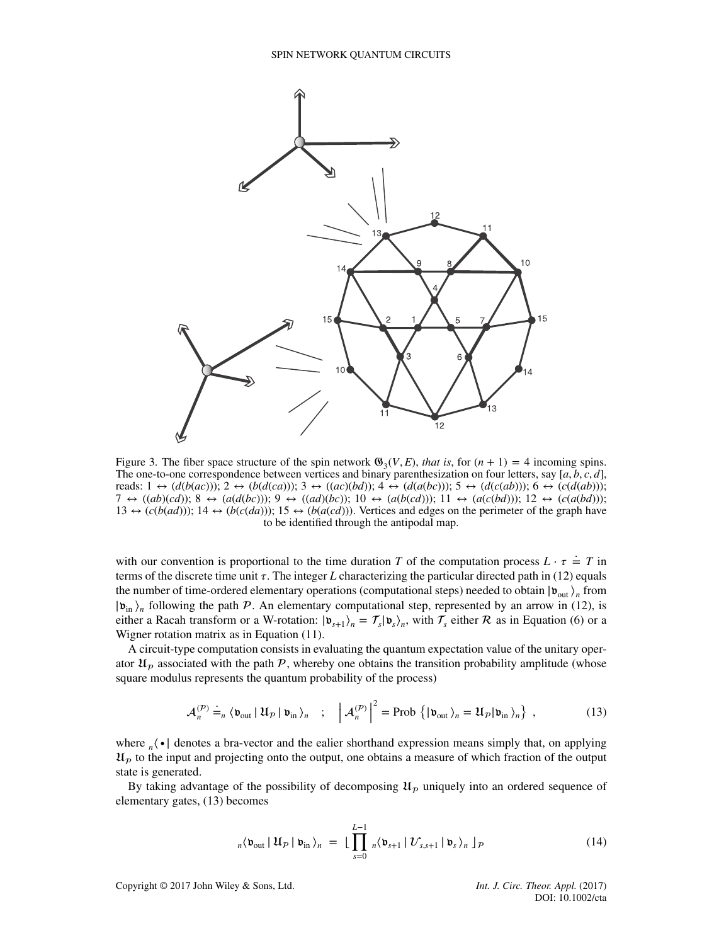

<span id="page-6-0"></span>Figure 3. The fiber space structure of the spin network  $\mathfrak{G}_{3}(V,E)$ , *that is*, for  $(n + 1) = 4$  incoming spins. The one-to-one correspondence between vertices and binary parenthesization on four letters, say  $[a, b, c, d]$ , reads:  $1 \leftrightarrow (d(b(ac)))$ ;  $2 \leftrightarrow (b(d(ca)))$ ;  $3 \leftrightarrow ((ac(bd))$ ;  $4 \leftrightarrow (d(a(bc)))$ ;  $5 \leftrightarrow (d(c(ab)))$ ;  $6 \leftrightarrow (c(d(ab)))$ ;  $7 \leftrightarrow ((ab)(cd))$ ;  $8 \leftrightarrow (a(d(bc)))$ ;  $9 \leftrightarrow ((ad)(bc))$ ;  $10 \leftrightarrow (a(b(cd)))$ ;  $11 \leftrightarrow (a(c(bd)))$ ;  $12 \leftrightarrow (c(a(bd)))$ ;  $13 \leftrightarrow (c(b(ad)))$ ;  $14 \leftrightarrow (b(c(da)))$ ;  $15 \leftrightarrow (b(a(cd)))$ . Vertices and edges on the perimeter of the graph have to be identified through the antipodal map.

with our convention is proportional to the time duration *T* of the computation process  $L \cdot \tau = T$  in terms of the discrete time unit  $\tau$ . The integer *L* characterizing the particular directed path in [\(12\)](#page-5-1) equals the number of time-ordered elementary operations (computational steps) needed to obtain  $|\mathbf{b}_{out}\rangle_n$  from  $|\mathfrak{b}_{in}\rangle_n$  following the path P. An elementary computational step, represented by an arrow in [\(12\)](#page-5-1), is either a Racah transform or a W-rotation:  $|\mathbf{b}_{s+1}\rangle_n = \mathcal{T}_s |\mathbf{b}_s\rangle_n$ , with  $\mathcal{T}_s$  either R as in Equation [\(6\)](#page-3-3) or a Wigner rotation matrix as in Equation [\(11\)](#page-5-0).

A circuit-type computation consists in evaluating the quantum expectation value of the unitary operator  $\mathfrak{U}_p$  associated with the path P, whereby one obtains the transition probability amplitude (whose square modulus represents the quantum probability of the process)

$$
\mathcal{A}_n^{(P)} \doteq_n \langle \mathfrak{v}_{\text{out}} | \mathfrak{U}_P | \mathfrak{v}_{\text{in}} \rangle_n \quad ; \quad \left| \mathcal{A}_n^{(P)} \right|^2 = \text{Prob} \left\{ | \mathfrak{v}_{\text{out}} \rangle_n = \mathfrak{U}_P | \mathfrak{v}_{\text{in}} \rangle_n \right\} \,, \tag{13}
$$

where <sub>*n*</sub>(• | denotes a bra-vector and the ealier shorthand expression means simply that, on applying  $\mathfrak{U}_p$  to the input and projecting onto the output, one obtains a measure of which fraction of the output state is generated.

By taking advantage of the possibility of decomposing  $\mathfrak{U}_p$  uniquely into an ordered sequence of elementary gates, [\(13\)](#page-6-1) becomes

<span id="page-6-2"></span><span id="page-6-1"></span>
$$
_{n}\langle \mathbf{v}_{\text{out}} | \mathcal{U}_{\mathcal{P}} | \mathbf{v}_{\text{in}} \rangle_{n} = \lfloor \prod_{s=0}^{L-1} {}_{n}\langle \mathbf{v}_{s+1} | \mathcal{U}_{s,s+1} | \mathbf{v}_{s} \rangle_{n} \rfloor_{\mathcal{P}}
$$
(14)

Copyright © 2017 John Wiley & Sons, Ltd. *Int. J. Circ. Theor. Appl.* (2017)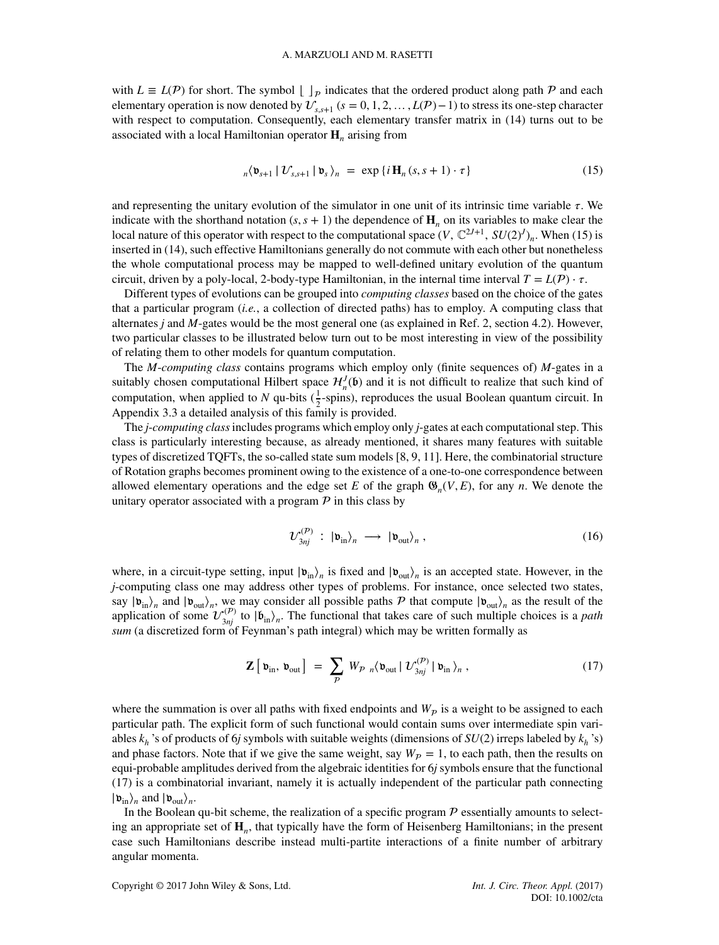with  $L \equiv L(P)$  for short. The symbol  $|\cdot|_p$  indicates that the ordered product along path P and each elementary operation is now denoted by  $\mathcal{U}_{s,t+1}$  ( $s = 0, 1, 2, \ldots, L(\mathcal{P})-1$ ) to stress its one-step character with respect to computation. Consequently, each elementary transfer matrix in [\(14\)](#page-6-2) turns out to be associated with a local Hamiltonian operator **H**<sub>n</sub> arising from

<span id="page-7-0"></span>
$$
_{n}\langle \mathbf{b}_{s+1} | \mathcal{U}_{s,s+1} | \mathbf{b}_{s} \rangle_{n} = \exp \{ i \mathbf{H}_{n} (s, s+1) \cdot \tau \}
$$
\n(15)

and representing the unitary evolution of the simulator in one unit of its intrinsic time variable  $\tau$ . We indicate with the shorthand notation  $(s, s + 1)$  the dependence of  $H_n$  on its variables to make clear the local nature of this operator with respect to the computational space  $(V, \mathbb{C}^{2J+1}, SU(2)^J)_n$ . When [\(15\)](#page-7-0) is inserted in [\(14\)](#page-6-2), such effective Hamiltonians generally do not commute with each other but nonetheless the whole computational process may be mapped to well-defined unitary evolution of the quantum circuit, driven by a poly-local, 2-body-type Hamiltonian, in the internal time interval  $T = L(\mathcal{P}) \cdot \tau$ .

Different types of evolutions can be grouped into *computing classes* based on the choice of the gates that a particular program (*i.e.*, a collection of directed paths) has to employ. A computing class that alternates *j* and *M*-gates would be the most general one (as explained in Ref. 2, section 4.2). However, two particular classes to be illustrated below turn out to be most interesting in view of the possibility of relating them to other models for quantum computation.

The *M*-*computing class* contains programs which employ only (finite sequences of) *M*-gates in a suitably chosen computational Hilbert space  $\mathcal{H}_n^J(\mathfrak{b})$  and it is not difficult to realize that such kind of computation, when applied to *N* qu-bits  $(\frac{1}{2}$ -spins), reproduces the usual Boolean quantum circuit. In Appendix 3.3 a detailed analysis of this family is provided.

The *j*-*computing class*includes programs which employ only *j*-gates at each computational step. This class is particularly interesting because, as already mentioned, it shares many features with suitable types of discretized TQFTs, the so-called state sum models [\[8,](#page-17-6) [9,](#page-17-7) [11\]](#page-17-9). Here, the combinatorial structure of Rotation graphs becomes prominent owing to the existence of a one-to-one correspondence between allowed elementary operations and the edge set *E* of the graph  $\mathfrak{G}_n(V, E)$ , for any *n*. We denote the unitary operator associated with a program  $P$  in this class by

<span id="page-7-1"></span>
$$
\mathcal{U}_{3nj}^{(P)}: |\mathbf{b}_{\text{in}}\rangle_n \longrightarrow |\mathbf{b}_{\text{out}}\rangle_n ,
$$
 (16)

where, in a circuit-type setting, input  $|\mathfrak{v}_{in}\rangle_n$  is fixed and  $|\mathfrak{v}_{out}\rangle_n$  is an accepted state. However, in the *j*-computing class one may address other types of problems. For instance, once selected two states, say  $|\mathfrak{v}_{\text{in}}\rangle_n$  and  $|\mathfrak{v}_{\text{out}}\rangle_n$ , we may consider all possible paths P that compute  $|\mathfrak{v}_{\text{out}}\rangle_n$  as the result of the application of some  $U_{3nj}^{(P)}$  to  $|\mathfrak{b}_{\text{in}}\rangle_n$ . The functional that takes care of such multiple choices is a *path sum* (a discretized form of Feynman's path integral) which may be written formally as

$$
\mathbf{Z} \left[ \mathbf{v}_{\text{in}}, \mathbf{v}_{\text{out}} \right] = \sum_{p} W_{p} \, _{n} \langle \mathbf{v}_{\text{out}} | \, \mathcal{U}_{3nj}^{(p)} \, | \, \mathbf{v}_{\text{in}} \, \rangle_{n} \,, \tag{17}
$$

where the summation is over all paths with fixed endpoints and  $W_p$  is a weight to be assigned to each particular path. The explicit form of such functional would contain sums over intermediate spin variables  $k_h$  's of products of 6*j* symbols with suitable weights (dimensions of  $SU(2)$  irreps labeled by  $k_h$  's) and phase factors. Note that if we give the same weight, say  $W_p = 1$ , to each path, then the results on equi-probable amplitudes derived from the algebraic identities for 6*j* symbols ensure that the functional [\(17\)](#page-7-1) is a combinatorial invariant, namely it is actually independent of the particular path connecting  $|\mathfrak{v}_{\text{in}}\rangle_n$  and  $|\mathfrak{v}_{\text{out}}\rangle_n$ .

In the Boolean qu-bit scheme, the realization of a specific program  $P$  essentially amounts to selecting an appropriate set of *n*, that typically have the form of Heisenberg Hamiltonians; in the present case such Hamiltonians describe instead multi-partite interactions of a finite number of arbitrary angular momenta.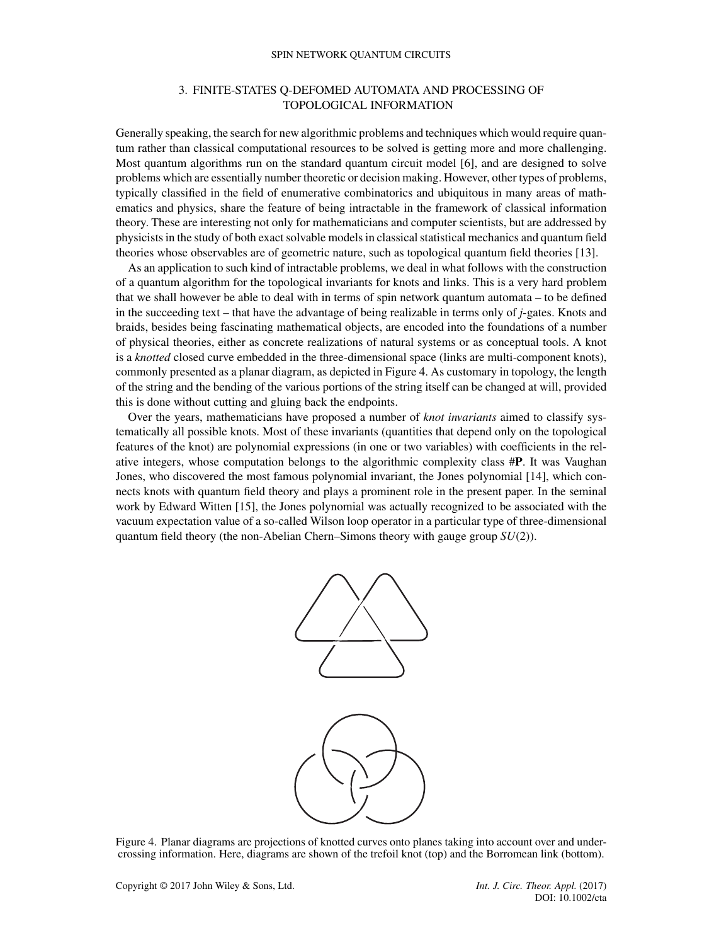# 3. FINITE-STATES Q-DEFOMED AUTOMATA AND PROCESSING OF TOPOLOGICAL INFORMATION

<span id="page-8-0"></span>Generally speaking, the search for new algorithmic problems and techniques which would require quantum rather than classical computational resources to be solved is getting more and more challenging. Most quantum algorithms run on the standard quantum circuit model [\[6\]](#page-17-4), and are designed to solve problems which are essentially number theoretic or decision making. However, other types of problems, typically classified in the field of enumerative combinatorics and ubiquitous in many areas of mathematics and physics, share the feature of being intractable in the framework of classical information theory. These are interesting not only for mathematicians and computer scientists, but are addressed by physicists in the study of both exact solvable models in classical statistical mechanics and quantum field theories whose observables are of geometric nature, such as topological quantum field theories [\[13\]](#page-17-11).

As an application to such kind of intractable problems, we deal in what follows with the construction of a quantum algorithm for the topological invariants for knots and links. This is a very hard problem that we shall however be able to deal with in terms of spin network quantum automata – to be defined in the succeeding text – that have the advantage of being realizable in terms only of *j*-gates. Knots and braids, besides being fascinating mathematical objects, are encoded into the foundations of a number of physical theories, either as concrete realizations of natural systems or as conceptual tools. A knot is a *knotted* closed curve embedded in the three-dimensional space (links are multi-component knots), commonly presented as a planar diagram, as depicted in Figure [4.](#page-8-1) As customary in topology, the length of the string and the bending of the various portions of the string itself can be changed at will, provided this is done without cutting and gluing back the endpoints.

Over the years, mathematicians have proposed a number of *knot invariants* aimed to classify systematically all possible knots. Most of these invariants (quantities that depend only on the topological features of the knot) are polynomial expressions (in one or two variables) with coefficients in the relative integers, whose computation belongs to the algorithmic complexity class  $\#P$ . It was Vaughan Jones, who discovered the most famous polynomial invariant, the Jones polynomial [\[14\]](#page-17-12), which connects knots with quantum field theory and plays a prominent role in the present paper. In the seminal work by Edward Witten [\[15\]](#page-17-13), the Jones polynomial was actually recognized to be associated with the vacuum expectation value of a so-called Wilson loop operator in a particular type of three-dimensional quantum field theory (the non-Abelian Chern–Simons theory with gauge group *SU*(2)).



<span id="page-8-1"></span>Figure 4. Planar diagrams are projections of knotted curves onto planes taking into account over and undercrossing information. Here, diagrams are shown of the trefoil knot (top) and the Borromean link (bottom).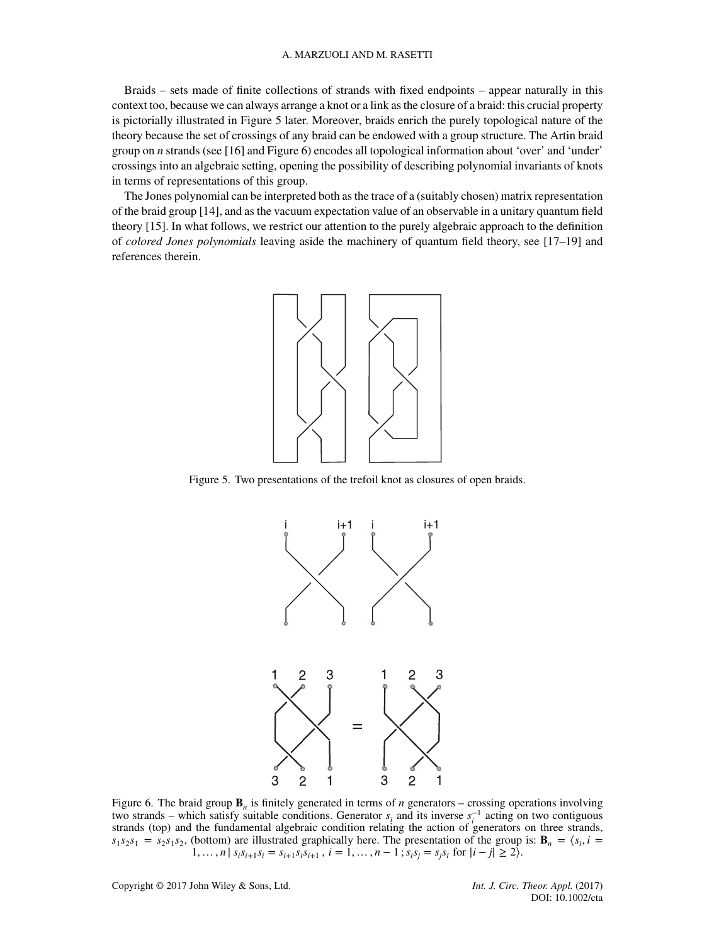Braids – sets made of finite collections of strands with fixed endpoints – appear naturally in this context too, because we can always arrange a knot or a link as the closure of a braid: this crucial property is pictorially illustrated in Figure [5](#page-9-0) later. Moreover, braids enrich the purely topological nature of the theory because the set of crossings of any braid can be endowed with a group structure. The Artin braid group on *n* strands (see [\[16\]](#page-17-14) and Figure [6\)](#page-9-1) encodes all topological information about 'over' and 'under' crossings into an algebraic setting, opening the possibility of describing polynomial invariants of knots in terms of representations of this group.

The Jones polynomial can be interpreted both as the trace of a (suitably chosen) matrix representation of the braid group [\[14\]](#page-17-12), and as the vacuum expectation value of an observable in a unitary quantum field theory [\[15\]](#page-17-13). In what follows, we restrict our attention to the purely algebraic approach to the definition of *colored Jones polynomials* leaving aside the machinery of quantum field theory, see [\[17–](#page-17-15)[19\]](#page-18-0) and references therein.



Figure 5. Two presentations of the trefoil knot as closures of open braids.

<span id="page-9-0"></span>

<span id="page-9-1"></span>Figure 6. The braid group **B**<sub>n</sub> is finitely generated in terms of *n* generators – crossing operations involving two strands – which satisfy suitable conditions. Generator  $s_i$  and its inverse  $s_i^{-1}$  acting on two contiguous strands (top) and the fundamental algebraic condition relating the action of generators on three strands,  $s_1 s_2 s_1 = s_2 s_1 s_2$ , (bottom) are illustrated graphically here. The presentation of the group is:  $\mathbf{B}_n = \langle s_i, i \rangle = \langle s_i, i \rangle = \langle s_i, i \rangle = \langle s_i, i \rangle = \langle s_i, i \rangle = \langle s_i, i \rangle = \langle s_i, i \rangle = \langle s_i, i \rangle = \langle s_i, i \rangle = \langle s_i, i \rangle = \langle s_i, i \rangle = \langle s_i, i \rangle = \langle s_i$ 1, ..., *n* |  $s_i s_{i+1} s_i = s_{i+1} s_i s_{i+1}$ ,  $i = 1, ..., n-1$ ;  $s_i s_j = s_j s_i$  for  $|i - j| \ge 2$ ).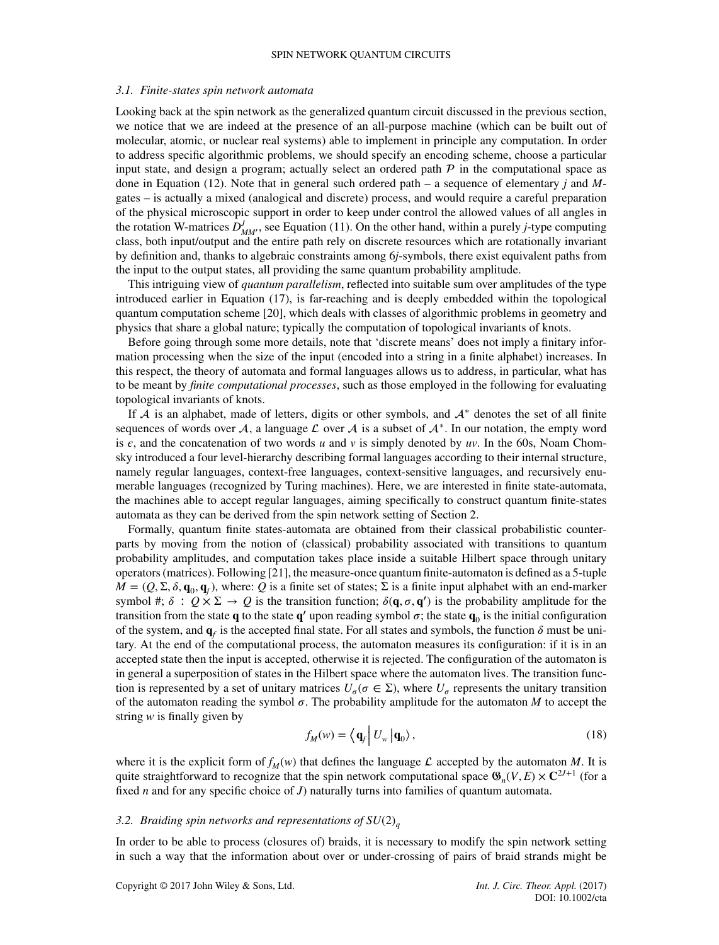#### *3.1. Finite-states spin network automata*

Looking back at the spin network as the generalized quantum circuit discussed in the previous section, we notice that we are indeed at the presence of an all-purpose machine (which can be built out of molecular, atomic, or nuclear real systems) able to implement in principle any computation. In order to address specific algorithmic problems, we should specify an encoding scheme, choose a particular input state, and design a program; actually select an ordered path  $\mathcal P$  in the computational space as done in Equation [\(12\)](#page-5-1). Note that in general such ordered path – a sequence of elementary *j* and *M*gates – is actually a mixed (analogical and discrete) process, and would require a careful preparation of the physical microscopic support in order to keep under control the allowed values of all angles in the rotation W-matrices  $D_{MM'}^J$ , see Equation [\(11\)](#page-5-0). On the other hand, within a purely *j*-type computing class, both input/output and the entire path rely on discrete resources which are rotationally invariant by definition and, thanks to algebraic constraints among 6*j*-symbols, there exist equivalent paths from the input to the output states, all providing the same quantum probability amplitude.

This intriguing view of *quantum parallelism*, reflected into suitable sum over amplitudes of the type introduced earlier in Equation [\(17\)](#page-7-1), is far-reaching and is deeply embedded within the topological quantum computation scheme [\[20\]](#page-18-1), which deals with classes of algorithmic problems in geometry and physics that share a global nature; typically the computation of topological invariants of knots.

Before going through some more details, note that 'discrete means' does not imply a finitary information processing when the size of the input (encoded into a string in a finite alphabet) increases. In this respect, the theory of automata and formal languages allows us to address, in particular, what has to be meant by *finite computational processes*, such as those employed in the following for evaluating topological invariants of knots.

If  $\mathcal A$  is an alphabet, made of letters, digits or other symbols, and  $\mathcal A^*$  denotes the set of all finite sequences of words over A, a language  $\mathcal L$  over A is a subset of  $\mathcal A^*$ . In our notation, the empty word is  $\epsilon$ , and the concatenation of two words *u* and *v* is simply denoted by *uv*. In the 60s, Noam Chomsky introduced a four level-hierarchy describing formal languages according to their internal structure, namely regular languages, context-free languages, context-sensitive languages, and recursively enumerable languages (recognized by Turing machines). Here, we are interested in finite state-automata, the machines able to accept regular languages, aiming specifically to construct quantum finite-states automata as they can be derived from the spin network setting of Section [2.](#page-1-0)

Formally, quantum finite states-automata are obtained from their classical probabilistic counterparts by moving from the notion of (classical) probability associated with transitions to quantum probability amplitudes, and computation takes place inside a suitable Hilbert space through unitary operators (matrices). Following [\[21\]](#page-18-2), the measure-once quantum finite-automaton is defined as a 5-tuple  $M = (Q, \Sigma, \delta, \mathbf{q}_0, \mathbf{q}_\ell)$ , where: *Q* is a finite set of states;  $\Sigma$  is a finite input alphabet with an end-marker symbol #;  $\delta: Q \times \Sigma \to Q$  is the transition function;  $\delta(q, \sigma, q')$  is the probability amplitude for the transition from the state q to the state  $q'$  upon reading symbol  $\sigma$ ; the state  $q_0$  is the initial configuration of the system, and  $\mathbf{q}_f$  is the accepted final state. For all states and symbols, the function  $\delta$  must be unitary. At the end of the computational process, the automaton measures its configuration: if it is in an accepted state then the input is accepted, otherwise it is rejected. The configuration of the automaton is in general a superposition of states in the Hilbert space where the automaton lives. The transition function is represented by a set of unitary matrices  $U_{\sigma}(\sigma \in \Sigma)$ , where  $U_{\sigma}$  represents the unitary transition of the automaton reading the symbol  $\sigma$ . The probability amplitude for the automaton *M* to accept the string *w* is finally given by

$$
f_M(w) = \left\langle \mathbf{q}_f \middle| U_w \middle| \mathbf{q}_0 \right\rangle,\tag{18}
$$

where it is the explicit form of  $f_M(w)$  that defines the language  $\mathcal L$  accepted by the automaton *M*. It is quite straightforward to recognize that the spin network computational space  $\mathfrak{G}_n(V, E) \times \mathbb{C}^{2J+1}$  (for a fixed *n* and for any specific choice of *J*) naturally turns into families of quantum automata.

#### *3.2. Braiding spin networks and representations of SU*(2)*<sup>q</sup>*

In order to be able to process (closures of) braids, it is necessary to modify the spin network setting in such a way that the information about over or under-crossing of pairs of braid strands might be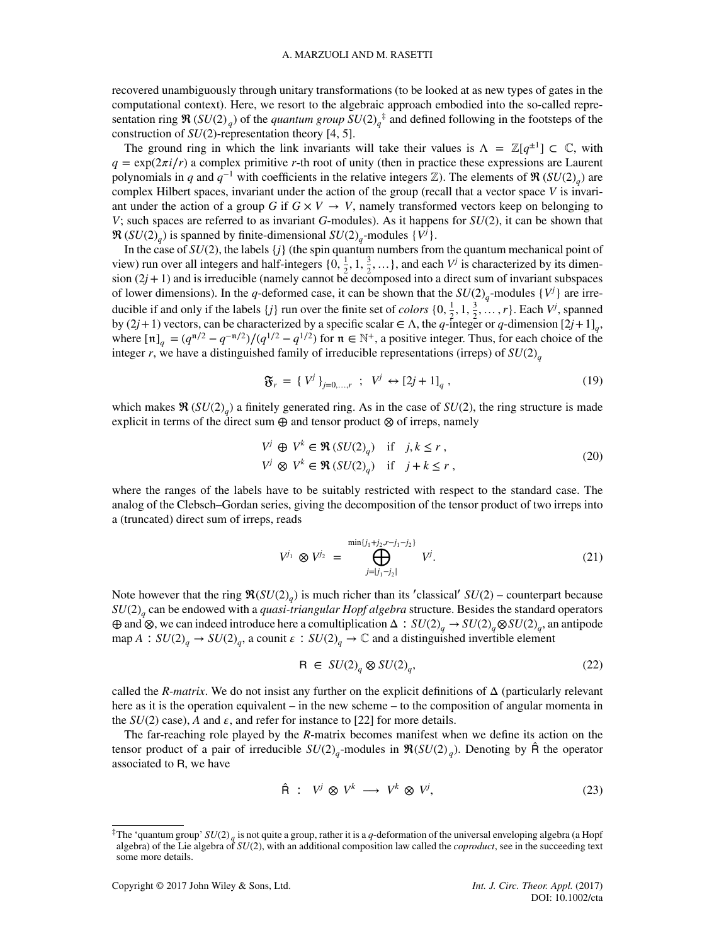recovered unambiguously through unitary transformations (to be looked at as new types of gates in the computational context). Here, we resort to the algebraic approach embodied into the so-called representation ring  $\Re(SU(2)_q)$  of the *quantum group*  $SU(2)_q^{\frac{1}{4}}$  and defined following in the footsteps of the construction of *SU*(2)-representation theory [\[4,](#page-17-2) [5\]](#page-17-3).

The ground ring in which the link invariants will take their values is  $\Lambda = \mathbb{Z}[q^{\pm 1}] \subset \mathbb{C}$ , with  $q = \exp(2\pi i/r)$  a complex primitive *r*-th root of unity (then in practice these expressions are Laurent polynomials in *q* and  $q^{-1}$  with coefficients in the relative integers  $\mathbb{Z}$ ). The elements of  $\Re(SU(2)_{q})$  are complex Hilbert spaces, invariant under the action of the group (recall that a vector space *V* is invariant under the action of a group *G* if  $G \times V \rightarrow V$ , namely transformed vectors keep on belonging to *V*; such spaces are referred to as invariant *G*-modules). As it happens for *SU*(2), it can be shown that  $\Re \left( SU(2)_q \right)$  is spanned by finite-dimensional  $SU(2)_q$ -modules  $\{V^j\}$ .

In the case of  $SU(2)$ , the labels  $\{j\}$  (the spin quantum numbers from the quantum mechanical point of view) run over all integers and half-integers  $\{0, \frac{1}{2}, 1, \frac{3}{2}, ...\}$ , and each  $V^j$  is characterized by its dimension  $(2j+1)$  and is irreducible (namely cannot be decomposed into a direct sum of invariant subspaces of lower dimensions). In the *q*-deformed case, it can be shown that the  $SU(2)_q$ -modules  $\{V^j\}$  are irreducible if and only if the labels  $\{j\}$  run over the finite set of *colors*  $\{0, \frac{1}{2}, 1, \frac{3}{2}, \dots, r\}$ . Each  $V^j$ , spanned by  $(2j+1)$  vectors, can be characterized by a specific scalar  $\in \Lambda$ , the  $q$ -integer or  $q$ -dimension  $[2j+1]_q$ , where  $[\mathfrak{n}]_q = (q^{\mathfrak{n}/2} - q^{-\mathfrak{n}/2})/(q^{1/2} - q^{1/2})$  for  $\mathfrak{n} \in \mathbb{N}^+$ , a positive integer. Thus, for each choice of the integer *r*, we have a distinguished family of irreducible representations (irreps) of  $SU(2)$ <sub>*q*</sub>

<span id="page-11-4"></span><span id="page-11-1"></span>
$$
\mathfrak{F}_r = \{ V^j \}_{j=0,\dots,r} \; ; \; V^j \leftrightarrow [2j+1]_q \; , \tag{19}
$$

which makes  $\Re(SU(2)<sub>a</sub>)$  a finitely generated ring. As in the case of  $SU(2)$ , the ring structure is made explicit in terms of the direct sum *⊕* and tensor product *⊗* of irreps, namely

$$
V^j \oplus V^k \in \mathfrak{R}\left(SU(2)_q\right) \quad \text{if} \quad j, k \le r \,,
$$
  
\n
$$
V^j \otimes V^k \in \mathfrak{R}\left(SU(2)_q\right) \quad \text{if} \quad j + k \le r \,,
$$
\n
$$
(20)
$$

where the ranges of the labels have to be suitably restricted with respect to the standard case. The analog of the Clebsch–Gordan series, giving the decomposition of the tensor product of two irreps into a (truncated) direct sum of irreps, reads

$$
V^{j_1} \otimes V^{j_2} = \bigoplus_{j=j_1-j_2}^{\min\{j_1+j_2, r-j_1-j_2\}} V^j.
$$
 (21)

Note however that the ring  $\Re(SU(2)_q)$  is much richer than its 'classical'  $SU(2)$  – counterpart because *SU*(2)*<sup>q</sup>* can be endowed with a *quasi-triangular Hopf algebra* structure. Besides the standard operators  $\oplus$  and  $\otimes$ , we can indeed introduce here a comultiplication  $\Delta : SU(2)_q \to SU(2)_q \otimes SU(2)_q$ , an antipode map  $A : SU(2)_q \rightarrow SU(2)_q$ , a counit  $\varepsilon : SU(2)_q \rightarrow \mathbb{C}$  and a distinguished invertible element

<span id="page-11-2"></span>
$$
R \in SU(2)_q \otimes SU(2)_q,\tag{22}
$$

called the *R-matrix*. We do not insist any further on the explicit definitions of  $\Delta$  (particularly relevant here as it is the operation equivalent – in the new scheme – to the composition of angular momenta in the  $SU(2)$  case), A and  $\epsilon$ , and refer for instance to [\[22\]](#page-18-3) for more details.

The far-reaching role played by the *R*-matrix becomes manifest when we define its action on the tensor product of a pair of irreducible  $SU(2)_q$ -modules in  $\Re(SU(2)_q)$ . Denoting by R<sup>*i*</sup> the operator associated to R, we have

<span id="page-11-3"></span>
$$
\hat{\mathsf{R}} : V^j \otimes V^k \longrightarrow V^k \otimes V^j, \tag{23}
$$

<span id="page-11-0"></span><sup>‡</sup>The 'quantum group' *SU*(2) *<sup>q</sup>* is not quite a group, rather it is a *q*-deformation of the universal enveloping algebra (a Hopf algebra) of the Lie algebra of *SU*(2), with an additional composition law called the *coproduct*, see in the succeeding text some more details.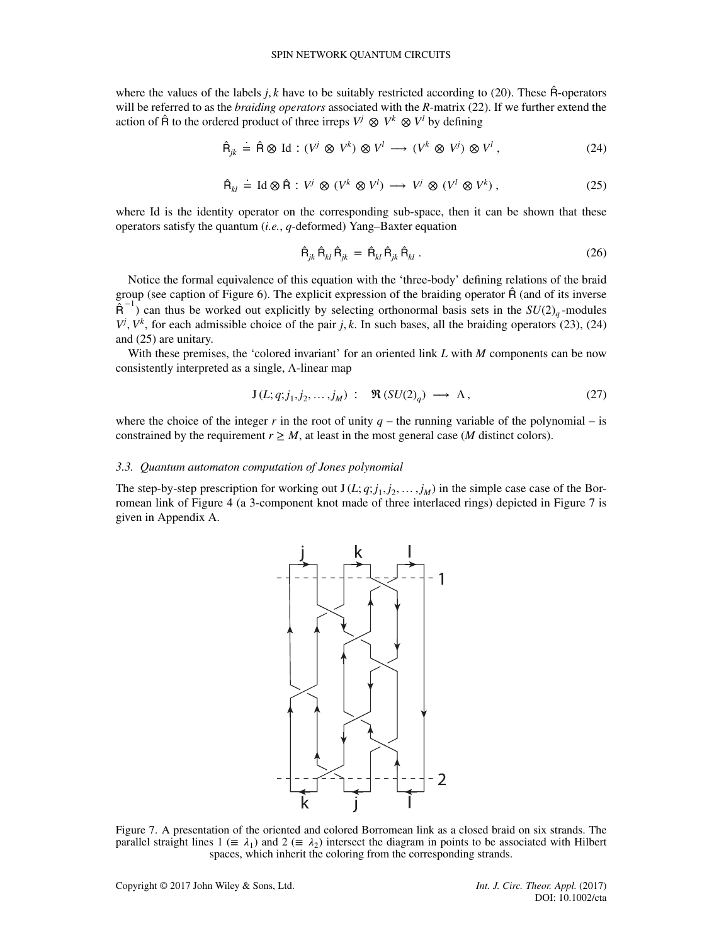where the values of the labels  $j$ ,  $k$  have to be suitably restricted according to [\(20\)](#page-11-1). These  $\hat{R}$ -operators will be referred to as the *braiding operators* associated with the *R*-matrix [\(22\)](#page-11-2). If we further extend the action of  $\hat{R}$  to the ordered product of three irreps  $V^j \otimes V^k \otimes V^l$  by defining

$$
\hat{\mathsf{R}}_{jk} \doteq \hat{\mathsf{R}} \otimes \mathrm{Id} : (V^j \otimes V^k) \otimes V^l \longrightarrow (V^k \otimes V^j) \otimes V^l , \tag{24}
$$

$$
\hat{\mathsf{R}}_{kl} \doteq \mathrm{Id} \otimes \hat{\mathsf{R}} : V^j \otimes (V^k \otimes V^l) \longrightarrow V^j \otimes (V^l \otimes V^k) , \tag{25}
$$

<span id="page-12-1"></span>where Id is the identity operator on the corresponding sub-space, then it can be shown that these operators satisfy the quantum (*i.e.*, *q*-deformed) Yang–Baxter equation

<span id="page-12-0"></span>
$$
\hat{\mathbf{R}}_{jk}\,\hat{\mathbf{R}}_{kl}\,\hat{\mathbf{R}}_{jk} = \hat{\mathbf{R}}_{kl}\,\hat{\mathbf{R}}_{jk}\,\hat{\mathbf{R}}_{kl} \,. \tag{26}
$$

Notice the formal equivalence of this equation with the 'three-body' defining relations of the braid group (see caption of Figure [6\)](#page-9-1). The explicit expression of the braiding operator  $\hat{R}$  (and of its inverse  $\hat{R}^{-1}$ ) can thus be worked out explicitly by selecting orthonormal basis sets in the  $SU(2)_q$ -modules  $V^j$ ,  $V^k$ , for each admissible choice of the pair *j*, *k*. In such bases, all the braiding operators [\(23\)](#page-11-3), [\(24\)](#page-12-0) and [\(25\)](#page-12-1) are unitary.

With these premises, the 'colored invariant' for an oriented link *L* with *M* components can be now consistently interpreted as a single, Λ-linear map

<span id="page-12-3"></span>
$$
J(L; q; j_1, j_2, \dots, j_M) : \mathfrak{R}(SU(2)_q) \longrightarrow \Lambda,
$$
\n<sup>(27)</sup>

where the choice of the integer  $r$  in the root of unity  $q$  – the running variable of the polynomial – is constrained by the requirement  $r \geq M$ , at least in the most general case (*M* distinct colors).

#### *3.3. Quantum automaton computation of Jones polynomial*

The step-by-step prescription for working out  $J(L; q; j_1, j_2, \ldots, j_M)$  in the simple case case of the Borromean link of Figure [4](#page-8-1) (a 3-component knot made of three interlaced rings) depicted in Figure [7](#page-12-2) is given in Appendix A.



<span id="page-12-2"></span>Figure 7. A presentation of the oriented and colored Borromean link as a closed braid on six strands. The parallel straight lines  $1 \equiv \lambda_1$ ) and  $2 \equiv \lambda_2$ ) intersect the diagram in points to be associated with Hilbert spaces, which inherit the coloring from the corresponding strands.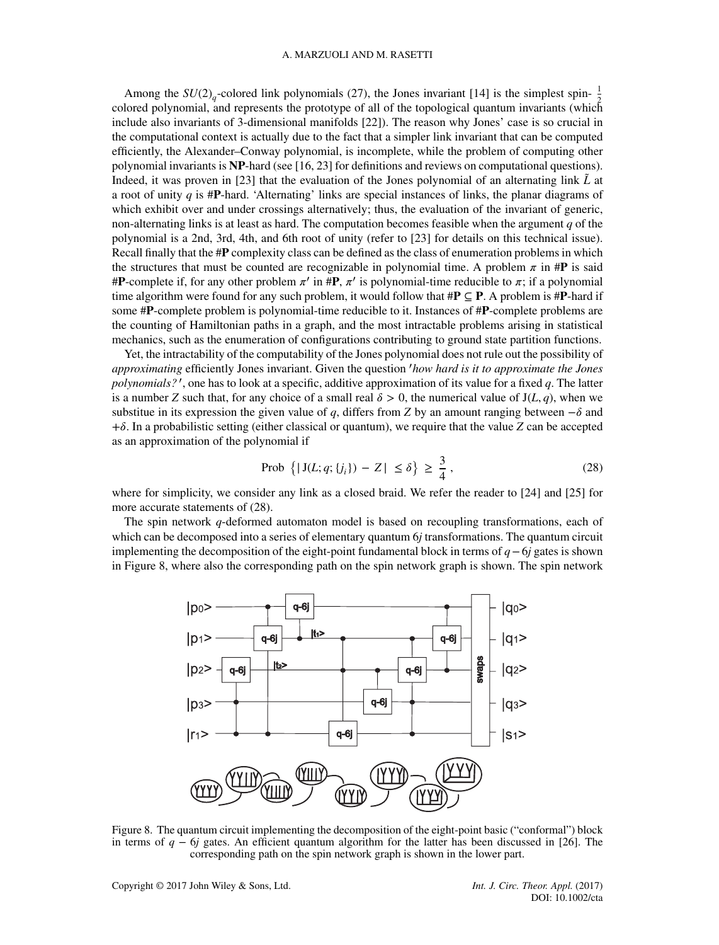Among the  $SU(2)<sub>q</sub>$ -colored link polynomials [\(27\)](#page-12-3), the Jones invariant [\[14\]](#page-17-12) is the simplest spin- $\frac{1}{2}$ colored polynomial, and represents the prototype of all of the topological quantum invariants (which include also invariants of 3-dimensional manifolds [\[22\]](#page-18-3)). The reason why Jones' case is so crucial in the computational context is actually due to the fact that a simpler link invariant that can be computed efficiently, the Alexander–Conway polynomial, is incomplete, while the problem of computing other polynomial invariants is  $NP$ -hard (see [\[16,](#page-17-14) [23\]](#page-18-4) for definitions and reviews on computational questions). Indeed, it was proven in [\[23\]](#page-18-4) that the evaluation of the Jones polynomial of an alternating link *L̃* at a root of unity  $q$  is #P-hard. 'Alternating' links are special instances of links, the planar diagrams of which exhibit over and under crossings alternatively; thus, the evaluation of the invariant of generic, non-alternating links is at least as hard. The computation becomes feasible when the argument *q* of the polynomial is a 2nd, 3rd, 4th, and 6th root of unity (refer to [\[23\]](#page-18-4) for details on this technical issue). Recall finally that the  $\#P$  complexity class can be defined as the class of enumeration problems in which the structures that must be counted are recognizable in polynomial time. A problem  $\pi$  in #**P** is said #P-complete if, for any other problem  $\pi'$  in #P,  $\pi'$  is polynomial-time reducible to  $\pi$ ; if a polynomial time algorithm were found for any such problem, it would follow that  $\mathbf{\#P} \subseteq \mathbf{P}$ . A problem is  $\mathbf{\#P}$ -hard if some #P-complete problem is polynomial-time reducible to it. Instances of #P-complete problems are the counting of Hamiltonian paths in a graph, and the most intractable problems arising in statistical mechanics, such as the enumeration of configurations contributing to ground state partition functions.

Yet, the intractability of the computability of the Jones polynomial does not rule out the possibility of *approximating* efficiently Jones invariant. Given the question ′ *how hard is it to approximate the Jones polynomials?* ′ , one has to look at a specific, additive approximation of its value for a fixed *q*. The latter is a number *Z* such that, for any choice of a small real  $\delta > 0$ , the numerical value of  $J(L, q)$ , when we substitue in its expression the given value of *q*, differs from *Z* by an amount ranging between  $-\delta$  and  $+\delta$ . In a probabilistic setting (either classical or quantum), we require that the value *Z* can be accepted as an approximation of the polynomial if

<span id="page-13-0"></span>
$$
\text{Prob } \{ | \mathbf{J}(L; q; \{j_i\}) - Z | \le \delta \} \ge \frac{3}{4}, \tag{28}
$$

where for simplicity, we consider any link as a closed braid. We refer the reader to [\[24\]](#page-18-5) and [\[25\]](#page-18-6) for more accurate statements of [\(28\)](#page-13-0).

The spin network *q*-deformed automaton model is based on recoupling transformations, each of which can be decomposed into a series of elementary quantum 6*j* transformations. The quantum circuit implementing the decomposition of the eight-point fundamental block in terms of *q*−6*j* gates is shown in Figure [8,](#page-13-1) where also the corresponding path on the spin network graph is shown. The spin network



<span id="page-13-1"></span>Figure 8. The quantum circuit implementing the decomposition of the eight-point basic ("conformal") block in terms of *q* − 6*j* gates. An efficient quantum algorithm for the latter has been discussed in [\[26\]](#page-18-7). The corresponding path on the spin network graph is shown in the lower part.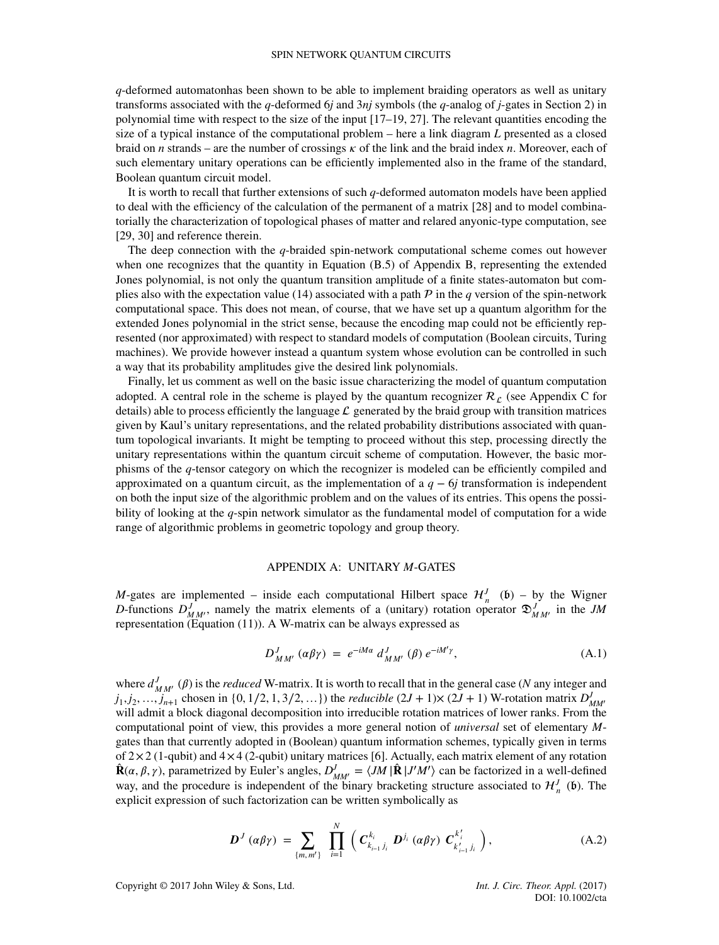#### SPIN NETWORK QUANTUM CIRCUITS

*q*-deformed automatonhas been shown to be able to implement braiding operators as well as unitary transforms associated with the *q*-deformed 6*j* and 3*nj* symbols (the *q*-analog of *j*-gates in Section [2\)](#page-1-0) in polynomial time with respect to the size of the input [\[17–](#page-17-15)[19,](#page-18-0) [27\]](#page-18-8). The relevant quantities encoding the size of a typical instance of the computational problem – here a link diagram *L* presented as a closed braid on *n* strands – are the number of crossings  $\kappa$  of the link and the braid index *n*. Moreover, each of such elementary unitary operations can be efficiently implemented also in the frame of the standard, Boolean quantum circuit model.

It is worth to recall that further extensions of such *q*-deformed automaton models have been applied to deal with the efficiency of the calculation of the permanent of a matrix [\[28\]](#page-18-9) and to model combinatorially the characterization of topological phases of matter and relared anyonic-type computation, see [\[29,](#page-18-10) [30\]](#page-18-11) and reference therein.

The deep connection with the *q*-braided spin-network computational scheme comes out however when one recognizes that the quantity in Equation [\(B.5\)](#page-16-0) of Appendix B, representing the extended Jones polynomial, is not only the quantum transition amplitude of a finite states-automaton but complies also with the expectation value (14) associated with a path  $\mathcal P$  in the *q* version of the spin-network computational space. This does not mean, of course, that we have set up a quantum algorithm for the extended Jones polynomial in the strict sense, because the encoding map could not be efficiently represented (nor approximated) with respect to standard models of computation (Boolean circuits, Turing machines). We provide however instead a quantum system whose evolution can be controlled in such a way that its probability amplitudes give the desired link polynomials.

Finally, let us comment as well on the basic issue characterizing the model of quantum computation adopted. A central role in the scheme is played by the quantum recognizer  $\mathcal{R}_r$  (see Appendix C for details) able to process efficiently the language  $\mathcal L$  generated by the braid group with transition matrices given by Kaul's unitary representations, and the related probability distributions associated with quantum topological invariants. It might be tempting to proceed without this step, processing directly the unitary representations within the quantum circuit scheme of computation. However, the basic morphisms of the *q*-tensor category on which the recognizer is modeled can be efficiently compiled and approximated on a quantum circuit, as the implementation of a *q* − 6*j* transformation is independent on both the input size of the algorithmic problem and on the values of its entries. This opens the possibility of looking at the *q*-spin network simulator as the fundamental model of computation for a wide range of algorithmic problems in geometric topology and group theory.

# APPENDIX A: UNITARY *M*-GATES

*M*-gates are implemented – inside each computational Hilbert space  $\mathcal{H}^J_n$  (b) – by the Wigner *D*-functions  $D_{MM'}^J$ , namely the matrix elements of a (unitary) rotation operator  $\mathfrak{D}_{MM'}^J$  in the *JM* representation  $(Equation (11))$  $(Equation (11))$  $(Equation (11))$ . A W-matrix can be always expressed as

$$
D_{MM'}^{J} \left( \alpha \beta \gamma \right) = e^{-iM\alpha} d_{MM'}^{J} \left( \beta \right) e^{-iM'\gamma}, \tag{A.1}
$$

where  $d_{MM'}^J(\beta)$  is the *reduced* W-matrix. It is worth to recall that in the general case (*N* any integer and  $j_1, j_2, \ldots, j_{n+1}$  chosen in {0*,* 1/2*,* 1*,* 3/2*, ...*}) the *reducible* (2*J* + 1)× (2*J* + 1) W-rotation matrix  $D_{MM'}^f$ will admit a block diagonal decomposition into irreducible rotation matrices of lower ranks. From the computational point of view, this provides a more general notion of *universal* set of elementary *M*gates than that currently adopted in (Boolean) quantum information schemes, typically given in terms of  $2 \times 2$  (1-qubit) and  $4 \times 4$  (2-qubit) unitary matrices [\[6\]](#page-17-4). Actually, each matrix element of any rotation  $\hat{\mathbf{R}}(\alpha, \beta, \gamma)$ , parametrized by Euler's angles,  $D_{MM'}^f = \langle JM | \hat{\mathbf{R}} | J'M' \rangle$  can be factorized in a well-defined way, and the procedure is independent of the binary bracketing structure associated to  $\mathcal{H}^J_n$  (b). The explicit expression of such factorization can be written symbolically as

<span id="page-14-0"></span>
$$
\boldsymbol{D}^{J}(\alpha\beta\gamma) = \sum_{\{m,m'\}} \prod_{i=1}^{N} \left( \boldsymbol{C}^{k_{i}}_{k_{i-1}j_{i}} \boldsymbol{D}^{j_{i}}(\alpha\beta\gamma) \boldsymbol{C}^{k'_{i}}_{k'_{i-1}j_{i}} \right), \qquad (A.2)
$$

Copyright © 2017 John Wiley & Sons, Ltd. *Int. J. Circ. Theor. Appl.* (2017)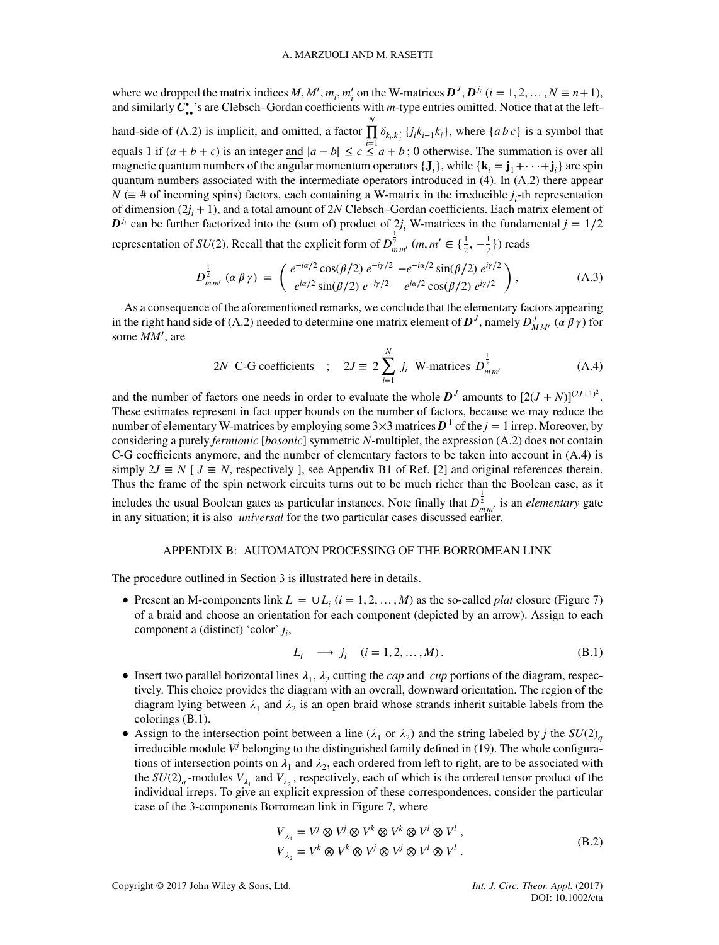where we dropped the matrix indices  $M, M', m_i, m'_i$  on the W-matrices  $D^J, D^{j_i}$   $(i = 1, 2, ..., N \equiv n+1)$ , and similarly *C***<sup>∙</sup> ∙∙**'s are Clebsch–Gordan coefficients with *m*-type entries omitted. Notice that at the left-hand-side of [\(A.2\)](#page-14-0) is implicit, and omitted, a factor  $\prod_{n=1}^{N}$ equals 1 if  $(a + b + c)$  is an integer <u>and</u>  $|a - b| \le c \le a + b$ ; 0 otherwise. The summation is over all  $\delta_{k_i, k'_i}$  {*j<sub>i</sub>* $k_{i-1}$ *k<sub>i</sub>*}, where {*abc*} is a symbol that magnetic quantum numbers of the angular momentum operators  $\{J_i\}$ , while  $\{k_i = j_1 + \cdots + j_i\}$  are spin quantum numbers associated with the intermediate operators introduced in [\(4\)](#page-3-2). In [\(A.2\)](#page-14-0) there appear *N* ( $\equiv$  # of incoming spins) factors, each containing a W-matrix in the irreducible  $j_i$ -th representation of dimension  $(2j_i + 1)$ , and a total amount of 2*N* Clebsch–Gordan coefficients. Each matrix element of  $D^{j_i}$  can be further factorized into the (sum of) product of 2*j<sub>i</sub>* W-matrices in the fundamental *j* = 1/2

representation of *SU*(2). Recall that the explicit form of  $D_{mm'}^{\frac{1}{2}}$  (*m*, *m'*  $\in \{\frac{1}{2}, -\frac{1}{2}\}\)$  reads

$$
D_{mm'}^{\frac{1}{2}}\left(\alpha \beta \gamma\right) = \begin{pmatrix} e^{-i\alpha/2} \cos(\beta/2) e^{-i\gamma/2} & -e^{-i\alpha/2} \sin(\beta/2) e^{i\gamma/2} \\ e^{i\alpha/2} \sin(\beta/2) e^{-i\gamma/2} & e^{i\alpha/2} \cos(\beta/2) e^{i\gamma/2} \end{pmatrix},\tag{A.3}
$$

As a consequence of the aforementioned remarks, we conclude that the elementary factors appearing in the right hand side of [\(A.2\)](#page-14-0) needed to determine one matrix element of  $D^J$ , namely  $D^J_{MM'}$  ( $\alpha \beta \gamma$ ) for some *MM*′ , are

<span id="page-15-0"></span>
$$
2N \text{ C-G coefficients } ; \quad 2J \equiv 2 \sum_{i=1}^{N} j_i \text{ W-matrices } D_{mm'}^{\frac{1}{2}} \tag{A.4}
$$

and the number of factors one needs in order to evaluate the whole  $D<sup>J</sup>$  amounts to  $[2(J + N)]^{(2J+1)^2}$ . These estimates represent in fact upper bounds on the number of factors, because we may reduce the number of elementary W-matrices by employing some  $3\times 3$  matrices  $D<sup>1</sup>$  of the  $j = 1$  irrep. Moreover, by considering a purely *fermionic* [*bosonic*] symmetric *N*-multiplet, the expression [\(A.2\)](#page-14-0) does not contain C-G coefficients anymore, and the number of elementary factors to be taken into account in [\(A.4\)](#page-15-0) is simply  $2J \equiv N \mid J \equiv N$ , respectively ], see Appendix B1 of Ref. [\[2\]](#page-17-16) and original references therein. Thus the frame of the spin network circuits turns out to be much richer than the Boolean case, as it includes the usual Boolean gates as particular instances. Note finally that  $D_{mm'}^{\frac{1}{2}}$  is an *elementary* gate in any situation; it is also *universal* for the two particular cases discussed earlier.

## APPENDIX B: AUTOMATON PROCESSING OF THE BORROMEAN LINK

The procedure outlined in Section [3](#page-8-0) is illustrated here in details.

• Present an M-components link  $L = \cup L_i$  ( $i = 1, 2, ..., M$ ) as the so-called *plat* closure (Figure [7\)](#page-12-2) of a braid and choose an orientation for each component (depicted by an arrow). Assign to each component a (distinct) 'color' *ji* ,

<span id="page-15-1"></span>
$$
L_i \longrightarrow j_i \quad (i = 1, 2, \dots, M). \tag{B.1}
$$

- Insert two parallel horizontal lines  $\lambda_1$ ,  $\lambda_2$  cutting the *cap* and *cup* portions of the diagram, respectively. This choice provides the diagram with an overall, downward orientation. The region of the diagram lying between  $\lambda_1$  and  $\lambda_2$  is an open braid whose strands inherit suitable labels from the colorings [\(B.1\)](#page-15-1).
- Assign to the intersection point between a line ( $\lambda_1$  or  $\lambda_2$ ) and the string labeled by *j* the  $SU(2)$ <sup>*q*</sup> irreducible module  $V^j$  belonging to the distinguished family defined in [\(19\)](#page-11-4). The whole configurations of intersection points on  $\lambda_1$  and  $\lambda_2$ , each ordered from left to right, are to be associated with the  $SU(2)_q$ -modules  $V_{\lambda_1}$  and  $V_{\lambda_2}$ , respectively, each of which is the ordered tensor product of the individual irreps. To give an explicit expression of these correspondences, consider the particular case of the 3-components Borromean link in Figure [7,](#page-12-2) where

<span id="page-15-2"></span>
$$
V_{\lambda_1} = V^j \otimes V^j \otimes V^k \otimes V^k \otimes V^l \otimes V^l ,
$$
  
\n
$$
V_{\lambda_2} = V^k \otimes V^k \otimes V^j \otimes V^j \otimes V^l \otimes V^l .
$$
 (B.2)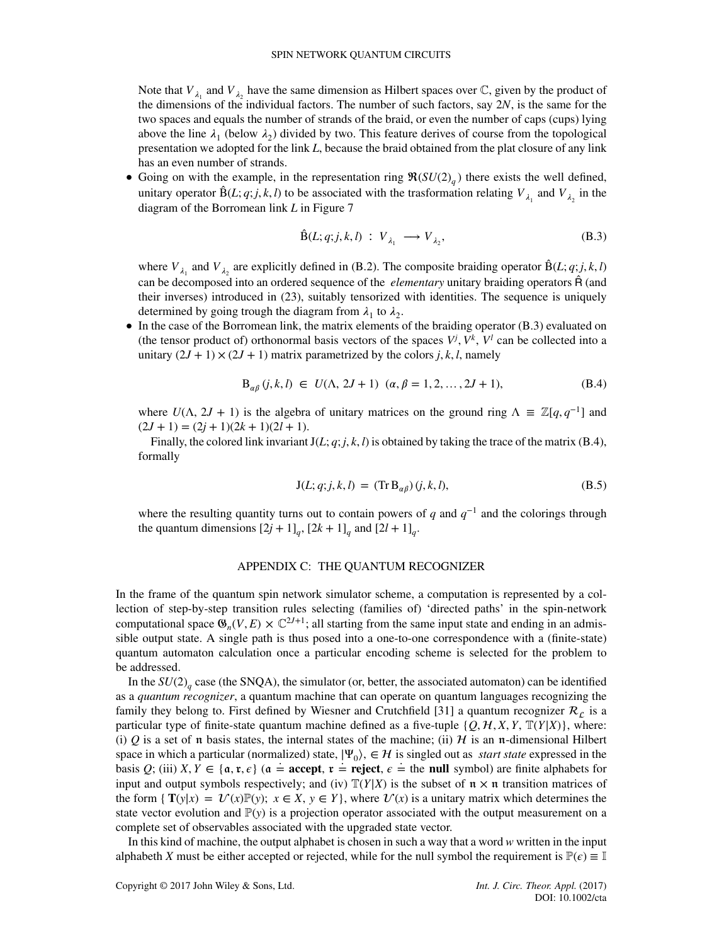Note that  $V_{\lambda_1}$  and  $V_{\lambda_2}$  have the same dimension as Hilbert spaces over  $\mathbb{C}$ , given by the product of the dimensions of the individual factors. The number of such factors, say 2*N*, is the same for the two spaces and equals the number of strands of the braid, or even the number of caps (cups) lying above the line  $\lambda_1$  (below  $\lambda_2$ ) divided by two. This feature derives of course from the topological presentation we adopted for the link *L*, because the braid obtained from the plat closure of any link has an even number of strands.

• Going on with the example, in the representation ring  $\Re(SU(2)_q)$  there exists the well defined, unitary operator  $\hat{B}(L; q; j, k, l)$  to be associated with the trasformation relating  $V_{\lambda_1}$  and  $V_{\lambda_2}$  in the diagram of the Borromean link *L* in Figure [7](#page-12-2)

<span id="page-16-2"></span><span id="page-16-1"></span>
$$
\hat{\mathbf{B}}(L;q;j,k,l) : V_{\lambda_1} \longrightarrow V_{\lambda_2}, \tag{B.3}
$$

where  $V_{\lambda_1}$  and  $V_{\lambda_2}$  are explicitly defined in [\(B.2\)](#page-15-2). The composite braiding operator  $\hat{B}(L; q; j, k, l)$ can be decomposed into an ordered sequence of the *elementary* unitary braiding operators R*̂* (and their inverses) introduced in [\(23\)](#page-11-3), suitably tensorized with identities. The sequence is uniquely determined by going trough the diagram from  $\lambda_1$  to  $\lambda_2$ .

• In the case of the Borromean link, the matrix elements of the braiding operator [\(B.3\)](#page-16-1) evaluated on (the tensor product of) orthonormal basis vectors of the spaces  $V^j$ ,  $V^k$ ,  $V^l$  can be collected into a unitary  $(2J + 1) \times (2J + 1)$  matrix parametrized by the colors *j*, *k*, *l*, namely

$$
B_{\alpha\beta}(j,k,l) \in U(\Lambda, 2J+1) \ (\alpha, \beta = 1, 2, ..., 2J+1), \tag{B.4}
$$

where  $U(\Lambda, 2J + 1)$  is the algebra of unitary matrices on the ground ring  $\Lambda \equiv \mathbb{Z}[q, q^{-1}]$  and  $(2J + 1) = (2j + 1)(2k + 1)(2l + 1).$ 

<span id="page-16-0"></span>Finally, the colored link invariant  $J(L; q; j, k, l)$  is obtained by taking the trace of the matrix [\(B.4\)](#page-16-2), formally

$$
J(L; q; j, k, l) = (\text{Tr }B_{\alpha\beta})(j, k, l),
$$
\n(B.5)

where the resulting quantity turns out to contain powers of *q* and *q*<sup>−</sup><sup>1</sup> and the colorings through the quantum dimensions  $[2j + 1]_q$ ,  $[2k + 1]_q$  and  $[2l + 1]_q$ .

# APPENDIX C: THE QUANTUM RECOGNIZER

In the frame of the quantum spin network simulator scheme, a computation is represented by a collection of step-by-step transition rules selecting (families of) 'directed paths' in the spin-network computational space  $\mathfrak{G}_n(V, E) \times \mathbb{C}^{2J+1}$ ; all starting from the same input state and ending in an admissible output state. A single path is thus posed into a one-to-one correspondence with a (finite-state) quantum automaton calculation once a particular encoding scheme is selected for the problem to be addressed.

In the  $SU(2)$ <sub>q</sub> case (the SNQA), the simulator (or, better, the associated automaton) can be identified as a *quantum recognizer*, a quantum machine that can operate on quantum languages recognizing the family they belong to. First defined by Wiesner and Crutchfield [\[31\]](#page-18-12) a quantum recognizer  $\mathcal{R}_c$  is a particular type of finite-state quantum machine defined as a five-tuple  $\{Q, H, X, Y, \mathbb{T}(Y|X)\}$ , where: (i)  $Q$  is a set of  $\bf{n}$  basis states, the internal states of the machine; (ii)  $H$  is an  $\bf{n}$ -dimensional Hilbert space in which a particular (normalized) state,  $|\Psi_0\rangle$ ,  $\in \mathcal{H}$  is singled out as *start state* expressed in the basis *Q*; (iii) *X*, *Y*  $\in$  { $\alpha$ ,  $\mathbf{r}$ ,  $\epsilon$ } ( $\alpha$  = **accept**,  $\mathbf{r}$  = **reject**,  $\epsilon$  = the **null** symbol) are finite alphabets for input and output symbols respectively; and (iv)  $T(Y|X)$  is the subset of  $\pi \times \pi$  transition matrices of the form { $\mathbf{T}(y|x) = \mathcal{U}(x)\mathbb{P}(y); x \in X, y \in Y$ }, where  $\mathcal{U}(x)$  is a unitary matrix which determines the state vector evolution and  $\mathbb{P}(y)$  is a projection operator associated with the output measurement on a complete set of observables associated with the upgraded state vector.

In this kind of machine, the output alphabet is chosen in such a way that a word *w* written in the input alphabeth *X* must be either accepted or rejected, while for the null symbol the requirement is  $\mathbb{P}(\epsilon) \equiv \mathbb{I}$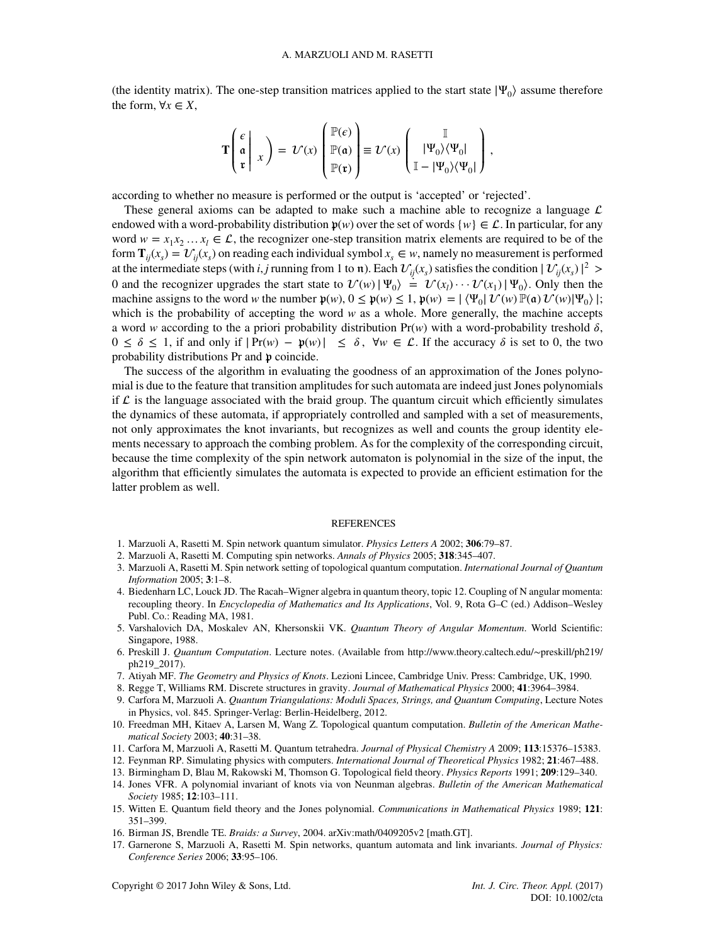(the identity matrix). The one-step transition matrices applied to the start state  $|\Psi_0\rangle$  assume therefore the form,  $\forall x \in X$ ,

$$
\mathbf{T}\begin{pmatrix} \epsilon \\ \mathfrak{a} \\ \mathfrak{r} \end{pmatrix} \mathfrak{x} = \mathcal{U}(x) \begin{pmatrix} \mathbb{P}(\epsilon) \\ \mathbb{P}(\mathfrak{a}) \\ \mathbb{P}(\mathfrak{r}) \end{pmatrix} \equiv \mathcal{U}(x) \begin{pmatrix} \mathbb{I} \\ |\Psi_0\rangle \langle \Psi_0| \\ \mathbb{I} - |\Psi_0\rangle \langle \Psi_0| \end{pmatrix},
$$

according to whether no measure is performed or the output is 'accepted' or 'rejected'.

These general axioms can be adapted to make such a machine able to recognize a language  $\mathcal L$ endowed with a word-probability distribution  $\mathfrak{p}(w)$  over the set of words  $\{w\} \in \mathcal{L}$ . In particular, for any word  $w = x_1 x_2 ... x_l \in \mathcal{L}$ , the recognizer one-step transition matrix elements are required to be of the form  $\mathbf{T}_{ii}(x_s) = \mathcal{U}_{ii}(x_s)$  on reading each individual symbol  $x_s \in \mathcal{W}$ , namely no measurement is performed at the intermediate steps (with *i*, *j* running from 1 to  $\pi$ ). Each  $\mathcal{U}_{ij}(x_s)$  satisfies the condition  $|\mathcal{U}_{ij}(x_s)|^2 >$ 0 and the recognizer upgrades the start state to  $V(w) | \Psi_0 \rangle = V(x_l) \cdots V(x_1) | \Psi_0 \rangle$ . Only then the machine assigns to the word *w* the number  $\mathbf{p}(w)$ ,  $0 \leq \mathbf{p}(w) \leq 1$ ,  $\mathbf{p}(w) = |\langle \Psi_0 | \mathcal{U}(w) \mathbb{P}(\mathbf{a}) \mathcal{U}(w) | \Psi_0 \rangle|$ ; which is the probability of accepting the word *w* as a whole. More generally, the machine accepts a word *w* according to the a priori probability distribution  $Pr(w)$  with a word-probability treshold  $\delta$ ,  $0 \le \delta \le 1$ , if and only if  $|\Pr(w) - \mathfrak{p}(w)| \le \delta$ ,  $\forall w \in \mathcal{L}$ . If the accuracy  $\delta$  is set to 0, the two probability distributions  $Pr$  and  $p$  coincide.

The success of the algorithm in evaluating the goodness of an approximation of the Jones polynomial is due to the feature that transition amplitudes for such automata are indeed just Jones polynomials if  $\mathcal L$  is the language associated with the braid group. The quantum circuit which efficiently simulates the dynamics of these automata, if appropriately controlled and sampled with a set of measurements, not only approximates the knot invariants, but recognizes as well and counts the group identity elements necessary to approach the combing problem. As for the complexity of the corresponding circuit, because the time complexity of the spin network automaton is polynomial in the size of the input, the algorithm that efficiently simulates the automata is expected to provide an efficient estimation for the latter problem as well.

#### **REFERENCES**

- <span id="page-17-0"></span>1. Marzuoli A, Rasetti M. Spin network quantum simulator. *Physics Letters A* 2002; **306**:79–87.
- <span id="page-17-16"></span>2. Marzuoli A, Rasetti M. Computing spin networks. *Annals of Physics* 2005; **318**:345–407.
- <span id="page-17-1"></span>3. Marzuoli A, Rasetti M. Spin network setting of topological quantum computation. *International Journal of Quantum Information* 2005; **3**:1–8.
- <span id="page-17-2"></span>4. Biedenharn LC, Louck JD. The Racah–Wigner algebra in quantum theory, topic 12. Coupling of N angular momenta: recoupling theory. In *Encyclopedia of Mathematics and Its Applications*, Vol. 9, Rota G–C (ed.) Addison–Wesley Publ. Co.: Reading MA, 1981.
- <span id="page-17-3"></span>5. Varshalovich DA, Moskalev AN, Khersonskii VK. *Quantum Theory of Angular Momentum*. World Scientific: Singapore, 1988.
- <span id="page-17-4"></span>6. Preskill J. *Quantum Computation*. Lecture notes. (Available from http://www.theory.caltech.edu/∼preskill/ph219/ ph219\_2017[\).](http://www.theory.caltech.edu/$\sim $preskill/ph219/ph219_2017)
- <span id="page-17-5"></span>7. Atiyah MF. *The Geometry and Physics of Knots*. Lezioni Lincee, Cambridge Univ. Press: Cambridge, UK, 1990.
- <span id="page-17-6"></span>8. Regge T, Williams RM. Discrete structures in gravity. *Journal of Mathematical Physics* 2000; **41**:3964–3984.
- <span id="page-17-7"></span>9. Carfora M, Marzuoli A. *Quantum Triangulations: Moduli Spaces, Strings, and Quantum Computing*, Lecture Notes in Physics, vol. 845. Springer-Verlag: Berlin-Heidelberg, 2012.
- <span id="page-17-8"></span>10. Freedman MH, Kitaev A, Larsen M, Wang Z. Topological quantum computation. *Bulletin of the American Mathematical Society* 2003; **40**:31–38.
- <span id="page-17-9"></span>11. Carfora M, Marzuoli A, Rasetti M. Quantum tetrahedra. *Journal of Physical Chemistry A* 2009; **113**:15376–15383.
- <span id="page-17-10"></span>12. Feynman RP. Simulating physics with computers. *International Journal of Theoretical Physics* 1982; **21**:467–488.
- <span id="page-17-11"></span>13. Birmingham D, Blau M, Rakowski M, Thomson G. Topological field theory. *Physics Reports* 1991; **209**:129–340.
- <span id="page-17-12"></span>14. Jones VFR. A polynomial invariant of knots via von Neunman algebras. *Bulletin of the American Mathematical Society* 1985; **12**:103–111.
- <span id="page-17-13"></span>15. Witten E. Quantum field theory and the Jones polynomial. *Communications in Mathematical Physics* 1989; **121**: 351–399.
- <span id="page-17-14"></span>16. Birman JS, Brendle TE. *Braids: a Survey*, 2004. arXiv:math/0409205v2 [math.GT].
- <span id="page-17-15"></span>17. Garnerone S, Marzuoli A, Rasetti M. Spin networks, quantum automata and link invariants. *Journal of Physics: Conference Series* 2006; **33**:95–106.